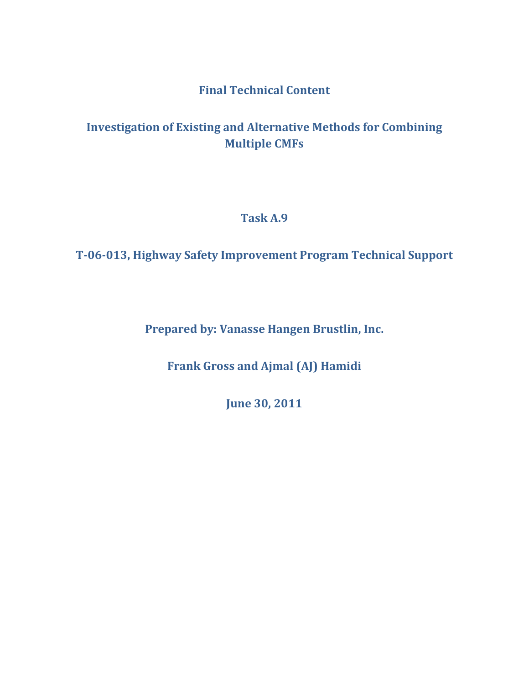## **Final Technical Content**

# **Investigation of Existing and Alternative Methods for Combining Multiple CMFs**

**Task A.9**

**T-06-013, Highway Safety Improvement Program Technical Support**

**Prepared by: Vanasse Hangen Brustlin, Inc.**

**Frank Gross and Ajmal (AJ) Hamidi**

**June 30, 2011**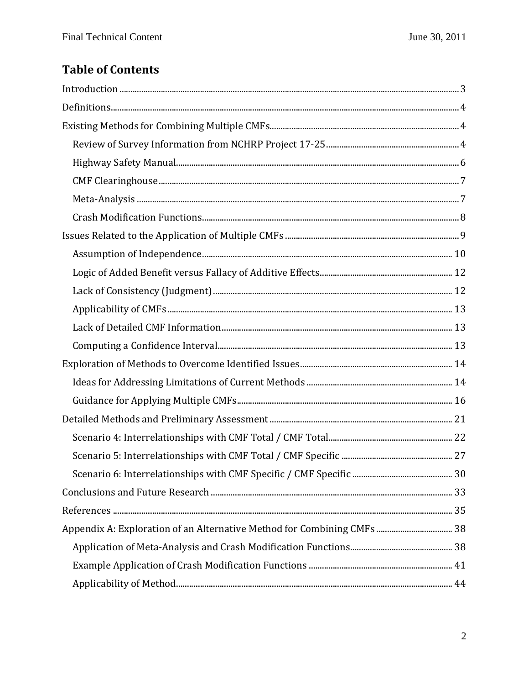# **Table of Contents**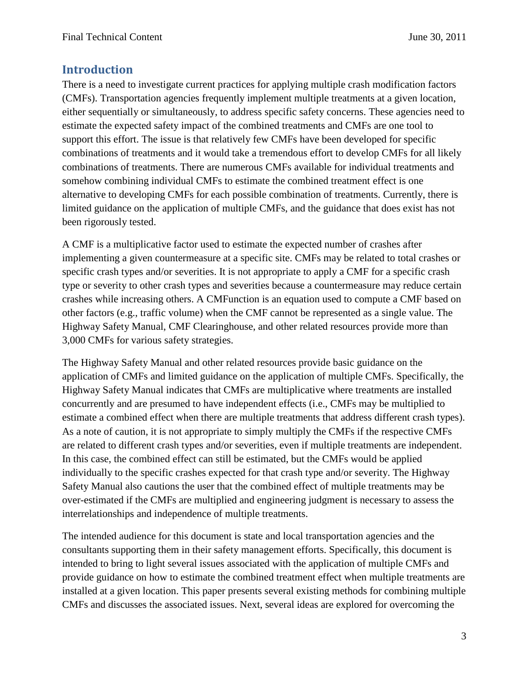## <span id="page-2-0"></span>**Introduction**

There is a need to investigate current practices for applying multiple crash modification factors (CMFs). Transportation agencies frequently implement multiple treatments at a given location, either sequentially or simultaneously, to address specific safety concerns. These agencies need to estimate the expected safety impact of the combined treatments and CMFs are one tool to support this effort. The issue is that relatively few CMFs have been developed for specific combinations of treatments and it would take a tremendous effort to develop CMFs for all likely combinations of treatments. There are numerous CMFs available for individual treatments and somehow combining individual CMFs to estimate the combined treatment effect is one alternative to developing CMFs for each possible combination of treatments. Currently, there is limited guidance on the application of multiple CMFs, and the guidance that does exist has not been rigorously tested.

A CMF is a multiplicative factor used to estimate the expected number of crashes after implementing a given countermeasure at a specific site. CMFs may be related to total crashes or specific crash types and/or severities. It is not appropriate to apply a CMF for a specific crash type or severity to other crash types and severities because a countermeasure may reduce certain crashes while increasing others. A CMFunction is an equation used to compute a CMF based on other factors (e.g., traffic volume) when the CMF cannot be represented as a single value. The Highway Safety Manual, CMF Clearinghouse, and other related resources provide more than 3,000 CMFs for various safety strategies.

The Highway Safety Manual and other related resources provide basic guidance on the application of CMFs and limited guidance on the application of multiple CMFs. Specifically, the Highway Safety Manual indicates that CMFs are multiplicative where treatments are installed concurrently and are presumed to have independent effects (i.e., CMFs may be multiplied to estimate a combined effect when there are multiple treatments that address different crash types). As a note of caution, it is not appropriate to simply multiply the CMFs if the respective CMFs are related to different crash types and/or severities, even if multiple treatments are independent. In this case, the combined effect can still be estimated, but the CMFs would be applied individually to the specific crashes expected for that crash type and/or severity. The Highway Safety Manual also cautions the user that the combined effect of multiple treatments may be over-estimated if the CMFs are multiplied and engineering judgment is necessary to assess the interrelationships and independence of multiple treatments.

The intended audience for this document is state and local transportation agencies and the consultants supporting them in their safety management efforts. Specifically, this document is intended to bring to light several issues associated with the application of multiple CMFs and provide guidance on how to estimate the combined treatment effect when multiple treatments are installed at a given location. This paper presents several existing methods for combining multiple CMFs and discusses the associated issues. Next, several ideas are explored for overcoming the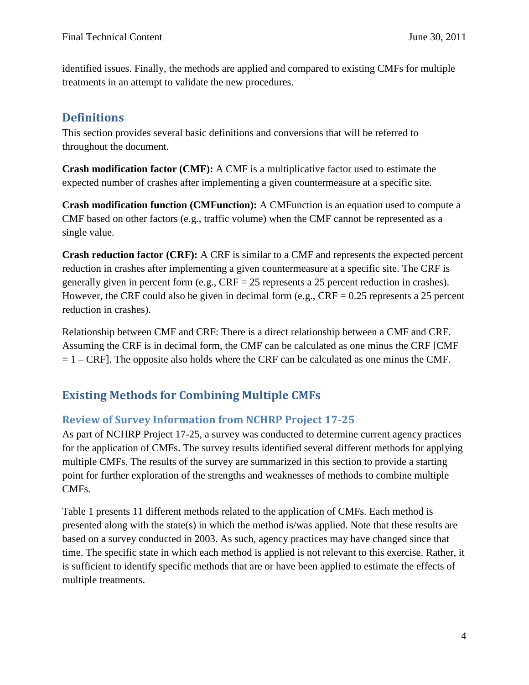identified issues. Finally, the methods are applied and compared to existing CMFs for multiple treatments in an attempt to validate the new procedures.

# <span id="page-3-0"></span>**Definitions**

This section provides several basic definitions and conversions that will be referred to throughout the document.

**Crash modification factor (CMF):** A CMF is a multiplicative factor used to estimate the expected number of crashes after implementing a given countermeasure at a specific site.

**Crash modification function (CMFunction):** A CMFunction is an equation used to compute a CMF based on other factors (e.g., traffic volume) when the CMF cannot be represented as a single value.

**Crash reduction factor (CRF):** A CRF is similar to a CMF and represents the expected percent reduction in crashes after implementing a given countermeasure at a specific site. The CRF is generally given in percent form (e.g.,  $CRF = 25$  represents a 25 percent reduction in crashes). However, the CRF could also be given in decimal form (e.g.,  $CRF = 0.25$  represents a 25 percent reduction in crashes).

Relationship between CMF and CRF: There is a direct relationship between a CMF and CRF. Assuming the CRF is in decimal form, the CMF can be calculated as one minus the CRF [CMF  $= 1 - CRF$ ]. The opposite also holds where the CRF can be calculated as one minus the CMF.

# <span id="page-3-1"></span>**Existing Methods for Combining Multiple CMFs**

## <span id="page-3-2"></span>**Review of Survey Information from NCHRP Project 17-25**

As part of NCHRP Project 17-25, a survey was conducted to determine current agency practices for the application of CMFs. The survey results identified several different methods for applying multiple CMFs. The results of the survey are summarized in this section to provide a starting point for further exploration of the strengths and weaknesses of methods to combine multiple CMFs.

Table 1 presents 11 different methods related to the application of CMFs. Each method is presented along with the state(s) in which the method is/was applied. Note that these results are based on a survey conducted in 2003. As such, agency practices may have changed since that time. The specific state in which each method is applied is not relevant to this exercise. Rather, it is sufficient to identify specific methods that are or have been applied to estimate the effects of multiple treatments.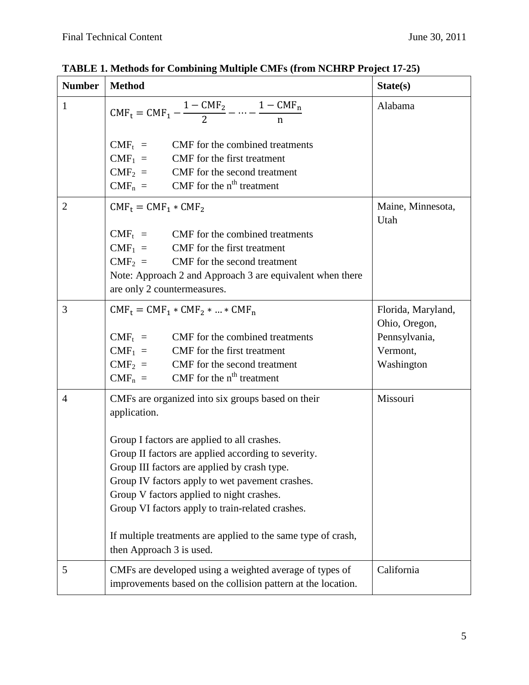| <b>Number</b>  | <b>Method</b>                                                                                                                                                                                                                                                                                                                                                                                                                                                            | State(s)                                                                       |
|----------------|--------------------------------------------------------------------------------------------------------------------------------------------------------------------------------------------------------------------------------------------------------------------------------------------------------------------------------------------------------------------------------------------------------------------------------------------------------------------------|--------------------------------------------------------------------------------|
| 1              | $CMF_t = CMF_1 - \frac{1 - CMF_2}{2} - \dots - \frac{1 - CMF_n}{n}$                                                                                                                                                                                                                                                                                                                                                                                                      | Alabama                                                                        |
|                | $CMF_t$ = CMF for the combined treatments<br>$CMF_1 = CMF$ for the first treatment<br>$CMF_2 = CMF$ for the second treatment<br>$CMF_n = CMF$ for the n <sup>th</sup> treatment                                                                                                                                                                                                                                                                                          |                                                                                |
| $\overline{2}$ | $CMF_t = CMF_1 * CMF_2$                                                                                                                                                                                                                                                                                                                                                                                                                                                  | Maine, Minnesota,<br>Utah                                                      |
|                | $CMF_t$ = CMF for the combined treatments<br>$CMF_1$ = CMF for the first treatment<br>$CMF_2 = CMF$ for the second treatment<br>Note: Approach 2 and Approach 3 are equivalent when there<br>are only 2 countermeasures.                                                                                                                                                                                                                                                 |                                                                                |
| 3              | $CMF_t = CMF_1 * CMF_2 *  * CMF_n$<br>$CMF_t$ = CMF for the combined treatments<br>$CMF_1$ = CMF for the first treatment<br>$CMF_2 = CMF$ for the second treatment<br>$CMF_n = CMF$ for the n <sup>th</sup> treatment                                                                                                                                                                                                                                                    | Florida, Maryland,<br>Ohio, Oregon,<br>Pennsylvania,<br>Vermont,<br>Washington |
| $\overline{4}$ | CMFs are organized into six groups based on their<br>application.<br>Group I factors are applied to all crashes.<br>Group II factors are applied according to severity.<br>Group III factors are applied by crash type.<br>Group IV factors apply to wet pavement crashes.<br>Group V factors applied to night crashes.<br>Group VI factors apply to train-related crashes.<br>If multiple treatments are applied to the same type of crash,<br>then Approach 3 is used. | Missouri                                                                       |
| 5              | CMFs are developed using a weighted average of types of<br>improvements based on the collision pattern at the location.                                                                                                                                                                                                                                                                                                                                                  | California                                                                     |

**TABLE 1. Methods for Combining Multiple CMFs (from NCHRP Project 17-25)**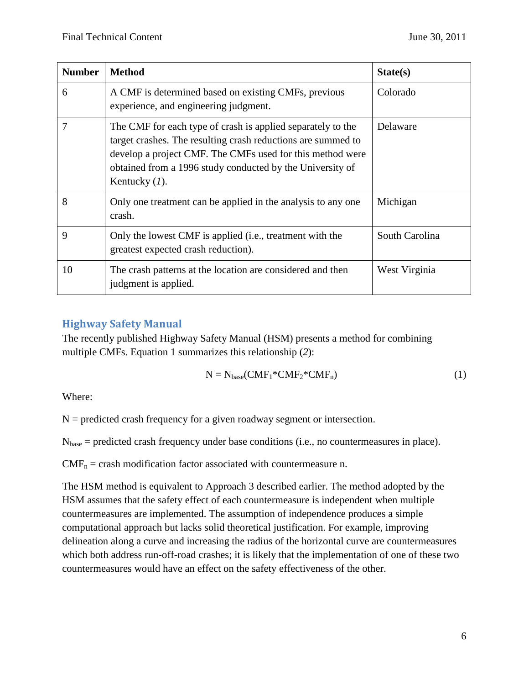| <b>Number</b> | <b>Method</b>                                                                                                                                                                                                                                                             | State(s)       |
|---------------|---------------------------------------------------------------------------------------------------------------------------------------------------------------------------------------------------------------------------------------------------------------------------|----------------|
| 6             | A CMF is determined based on existing CMFs, previous<br>experience, and engineering judgment.                                                                                                                                                                             | Colorado       |
|               | The CMF for each type of crash is applied separately to the<br>target crashes. The resulting crash reductions are summed to<br>develop a project CMF. The CMFs used for this method were<br>obtained from a 1996 study conducted by the University of<br>Kentucky $(I)$ . | Delaware       |
| 8             | Only one treatment can be applied in the analysis to any one<br>crash.                                                                                                                                                                                                    | Michigan       |
| 9             | Only the lowest CMF is applied (i.e., treatment with the<br>greatest expected crash reduction).                                                                                                                                                                           | South Carolina |
| 10            | The crash patterns at the location are considered and then<br>judgment is applied.                                                                                                                                                                                        | West Virginia  |

## <span id="page-5-0"></span>**Highway Safety Manual**

The recently published Highway Safety Manual (HSM) presents a method for combining multiple CMFs. Equation 1 summarizes this relationship (*2*):

$$
N = N_{base}(CMF_1 * CMF_2 * CMF_n)
$$
 (1)

Where:

 $N =$  predicted crash frequency for a given roadway segment or intersection.

Nbase = predicted crash frequency under base conditions (i.e., no countermeasures in place).

 $CMF_n =$  crash modification factor associated with countermeasure n.

The HSM method is equivalent to Approach 3 described earlier. The method adopted by the HSM assumes that the safety effect of each countermeasure is independent when multiple countermeasures are implemented. The assumption of independence produces a simple computational approach but lacks solid theoretical justification. For example, improving delineation along a curve and increasing the radius of the horizontal curve are countermeasures which both address run-off-road crashes; it is likely that the implementation of one of these two countermeasures would have an effect on the safety effectiveness of the other.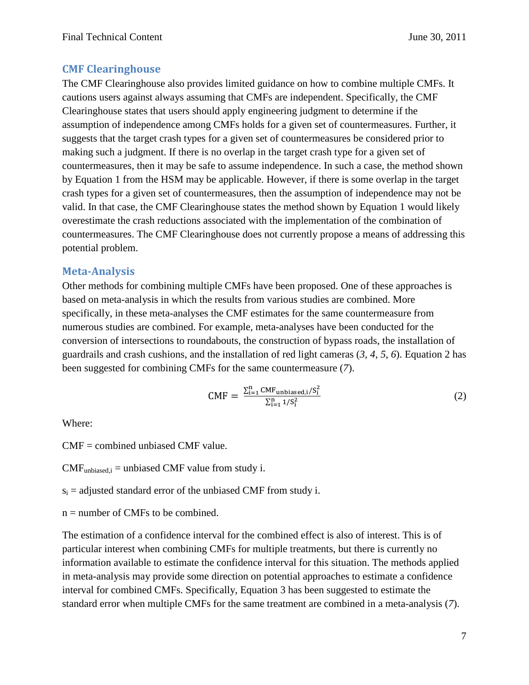## <span id="page-6-0"></span>**CMF Clearinghouse**

The CMF Clearinghouse also provides limited guidance on how to combine multiple CMFs. It cautions users against always assuming that CMFs are independent. Specifically, the CMF Clearinghouse states that users should apply engineering judgment to determine if the assumption of independence among CMFs holds for a given set of countermeasures. Further, it suggests that the target crash types for a given set of countermeasures be considered prior to making such a judgment. If there is no overlap in the target crash type for a given set of countermeasures, then it may be safe to assume independence. In such a case, the method shown by Equation 1 from the HSM may be applicable. However, if there is some overlap in the target crash types for a given set of countermeasures, then the assumption of independence may not be valid. In that case, the CMF Clearinghouse states the method shown by Equation 1 would likely overestimate the crash reductions associated with the implementation of the combination of countermeasures. The CMF Clearinghouse does not currently propose a means of addressing this potential problem.

### <span id="page-6-1"></span>**Meta-Analysis**

Other methods for combining multiple CMFs have been proposed. One of these approaches is based on meta-analysis in which the results from various studies are combined. More specifically, in these meta-analyses the CMF estimates for the same countermeasure from numerous studies are combined. For example, meta-analyses have been conducted for the conversion of intersections to roundabouts, the construction of bypass roads, the installation of guardrails and crash cushions, and the installation of red light cameras (*3, 4, 5, 6*). Equation 2 has been suggested for combining CMFs for the same countermeasure (*7*).

$$
CMF = \frac{\sum_{i=1}^{n} CMF_{unbiased,i}/S_i^2}{\sum_{i=1}^{n} 1/S_i^2}
$$
 (2)

Where:

CMF = combined unbiased CMF value.

 $CMF<sub>unbiased,i</sub> = unbiased CMF value from study i.$ 

 $s_i$  = adjusted standard error of the unbiased CMF from study i.

 $n =$  number of CMFs to be combined.

The estimation of a confidence interval for the combined effect is also of interest. This is of particular interest when combining CMFs for multiple treatments, but there is currently no information available to estimate the confidence interval for this situation. The methods applied in meta-analysis may provide some direction on potential approaches to estimate a confidence interval for combined CMFs. Specifically, Equation 3 has been suggested to estimate the standard error when multiple CMFs for the same treatment are combined in a meta-analysis (*7*).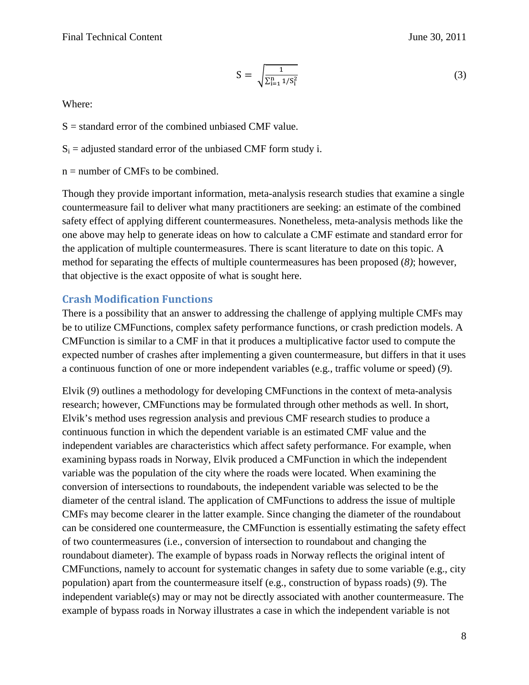$$
S = \sqrt{\frac{1}{\sum_{i=1}^{n} 1/S_i^2}}
$$
 (3)

Where:

 $S =$  standard error of the combined unbiased CMF value.

- $S_i$  = adjusted standard error of the unbiased CMF form study i.
- $n =$  number of CMFs to be combined.

Though they provide important information, meta-analysis research studies that examine a single countermeasure fail to deliver what many practitioners are seeking: an estimate of the combined safety effect of applying different countermeasures. Nonetheless, meta-analysis methods like the one above may help to generate ideas on how to calculate a CMF estimate and standard error for the application of multiple countermeasures. There is scant literature to date on this topic. A method for separating the effects of multiple countermeasures has been proposed (*8)*; however, that objective is the exact opposite of what is sought here.

#### <span id="page-7-0"></span>**Crash Modification Functions**

There is a possibility that an answer to addressing the challenge of applying multiple CMFs may be to utilize CMFunctions, complex safety performance functions, or crash prediction models. A CMFunction is similar to a CMF in that it produces a multiplicative factor used to compute the expected number of crashes after implementing a given countermeasure, but differs in that it uses a continuous function of one or more independent variables (e.g., traffic volume or speed) (*9*).

Elvik (*9*) outlines a methodology for developing CMFunctions in the context of meta-analysis research; however, CMFunctions may be formulated through other methods as well. In short, Elvik's method uses regression analysis and previous CMF research studies to produce a continuous function in which the dependent variable is an estimated CMF value and the independent variables are characteristics which affect safety performance. For example, when examining bypass roads in Norway, Elvik produced a CMFunction in which the independent variable was the population of the city where the roads were located. When examining the conversion of intersections to roundabouts, the independent variable was selected to be the diameter of the central island. The application of CMFunctions to address the issue of multiple CMFs may become clearer in the latter example. Since changing the diameter of the roundabout can be considered one countermeasure, the CMFunction is essentially estimating the safety effect of two countermeasures (i.e., conversion of intersection to roundabout and changing the roundabout diameter). The example of bypass roads in Norway reflects the original intent of CMFunctions, namely to account for systematic changes in safety due to some variable (e.g., city population) apart from the countermeasure itself (e.g., construction of bypass roads) (*9*). The independent variable(s) may or may not be directly associated with another countermeasure. The example of bypass roads in Norway illustrates a case in which the independent variable is not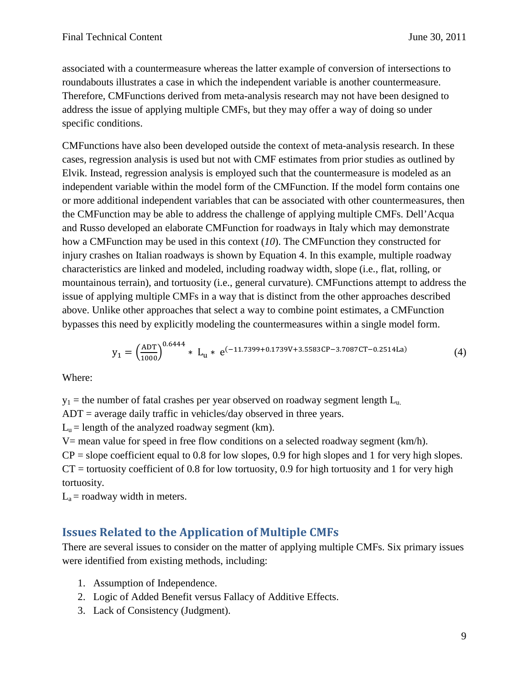associated with a countermeasure whereas the latter example of conversion of intersections to roundabouts illustrates a case in which the independent variable is another countermeasure. Therefore, CMFunctions derived from meta-analysis research may not have been designed to address the issue of applying multiple CMFs, but they may offer a way of doing so under specific conditions.

CMFunctions have also been developed outside the context of meta-analysis research. In these cases, regression analysis is used but not with CMF estimates from prior studies as outlined by Elvik. Instead, regression analysis is employed such that the countermeasure is modeled as an independent variable within the model form of the CMFunction. If the model form contains one or more additional independent variables that can be associated with other countermeasures, then the CMFunction may be able to address the challenge of applying multiple CMFs. Dell'Acqua and Russo developed an elaborate CMFunction for roadways in Italy which may demonstrate how a CMFunction may be used in this context (*10*). The CMFunction they constructed for injury crashes on Italian roadways is shown by Equation 4. In this example, multiple roadway characteristics are linked and modeled, including roadway width, slope (i.e., flat, rolling, or mountainous terrain), and tortuosity (i.e., general curvature). CMFunctions attempt to address the issue of applying multiple CMFs in a way that is distinct from the other approaches described above. Unlike other approaches that select a way to combine point estimates, a CMFunction bypasses this need by explicitly modeling the countermeasures within a single model form.

$$
y_1 = \left(\frac{ADT}{1000}\right)^{0.6444} * L_u * e^{(-11.7399 + 0.1739V + 3.5583CP - 3.7087CT - 0.2514La)} \tag{4}
$$

Where:

 $y_1$  = the number of fatal crashes per year observed on roadway segment length  $L_n$ 

 $ADT$  = average daily traffic in vehicles/day observed in three years.

 $L<sub>u</sub>$  = length of the analyzed roadway segment (km).

 $V=$  mean value for speed in free flow conditions on a selected roadway segment (km/h).

 $CP =$  slope coefficient equal to 0.8 for low slopes, 0.9 for high slopes and 1 for very high slopes.  $CT =$  tortuosity coefficient of 0.8 for low tortuosity, 0.9 for high tortuosity and 1 for very high tortuosity.

<span id="page-8-0"></span> $L<sub>a</sub>$  = roadway width in meters.

## **Issues Related to the Application of Multiple CMFs**

There are several issues to consider on the matter of applying multiple CMFs. Six primary issues were identified from existing methods, including:

- 1. Assumption of Independence.
- 2. Logic of Added Benefit versus Fallacy of Additive Effects.
- 3. Lack of Consistency (Judgment).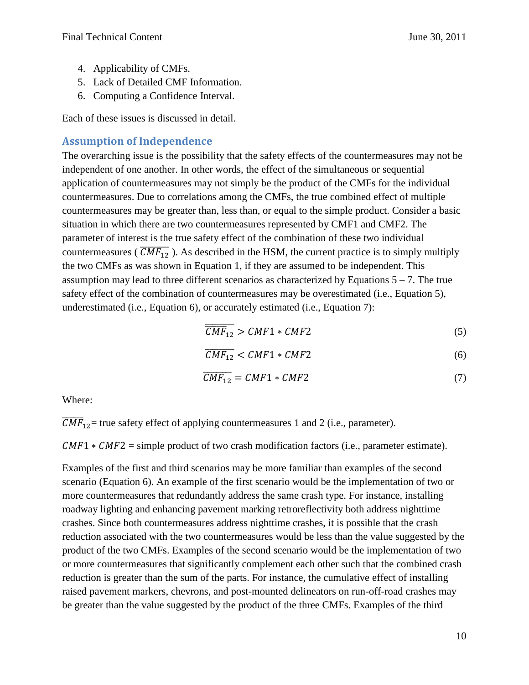- 4. Applicability of CMFs.
- 5. Lack of Detailed CMF Information.
- 6. Computing a Confidence Interval.

Each of these issues is discussed in detail.

## <span id="page-9-0"></span>**Assumption of Independence**

The overarching issue is the possibility that the safety effects of the countermeasures may not be independent of one another. In other words, the effect of the simultaneous or sequential application of countermeasures may not simply be the product of the CMFs for the individual countermeasures. Due to correlations among the CMFs, the true combined effect of multiple countermeasures may be greater than, less than, or equal to the simple product. Consider a basic situation in which there are two countermeasures represented by CMF1 and CMF2. The parameter of interest is the true safety effect of the combination of these two individual countermeasures ( $\overline{CMF_{12}}$ ). As described in the HSM, the current practice is to simply multiply the two CMFs as was shown in Equation 1, if they are assumed to be independent. This assumption may lead to three different scenarios as characterized by Equations  $5 - 7$ . The true safety effect of the combination of countermeasures may be overestimated (i.e., Equation 5), underestimated (i.e., Equation 6), or accurately estimated (i.e., Equation 7):

$$
\overline{CMF}_{12} > CMF1 * CMF2 \tag{5}
$$

$$
\overline{CMF_{12}} < CMF1 * CMF2 \tag{6}
$$

$$
\overline{CMF_{12}} = CMF1 * CMF2 \tag{7}
$$

Where:

 $CMF_{12}$  = true safety effect of applying countermeasures 1 and 2 (i.e., parameter).

 $CMF1 * CMF2 = simple product of two crash modification factors (i.e., parameter estimate).$ 

Examples of the first and third scenarios may be more familiar than examples of the second scenario (Equation 6). An example of the first scenario would be the implementation of two or more countermeasures that redundantly address the same crash type. For instance, installing roadway lighting and enhancing pavement marking retroreflectivity both address nighttime crashes. Since both countermeasures address nighttime crashes, it is possible that the crash reduction associated with the two countermeasures would be less than the value suggested by the product of the two CMFs. Examples of the second scenario would be the implementation of two or more countermeasures that significantly complement each other such that the combined crash reduction is greater than the sum of the parts. For instance, the cumulative effect of installing raised pavement markers, chevrons, and post-mounted delineators on run-off-road crashes may be greater than the value suggested by the product of the three CMFs. Examples of the third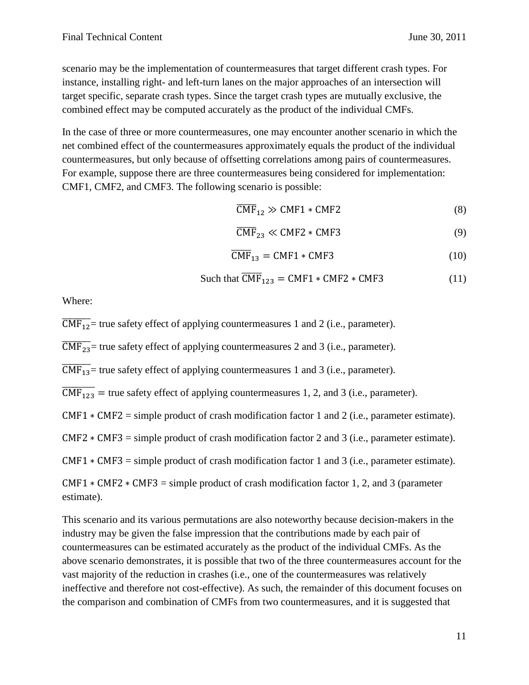scenario may be the implementation of countermeasures that target different crash types. For instance, installing right- and left-turn lanes on the major approaches of an intersection will target specific, separate crash types. Since the target crash types are mutually exclusive, the combined effect may be computed accurately as the product of the individual CMFs.

In the case of three or more countermeasures, one may encounter another scenario in which the net combined effect of the countermeasures approximately equals the product of the individual countermeasures, but only because of offsetting correlations among pairs of countermeasures. For example, suppose there are three countermeasures being considered for implementation: CMF1, CMF2, and CMF3. The following scenario is possible:

$$
\overline{\text{CMF}}_{12} \gg \text{CMF1} * \text{CMF2} \tag{8}
$$

$$
\overline{\text{CMF}}_{23} \ll \text{CMF2} * \text{CMF3} \tag{9}
$$

$$
\overline{\text{CMF}}_{13} = \text{CMF1} * \text{CMF3} \tag{10}
$$

Such that 
$$
\overline{CMF}_{123} = CMF1 * CMF2 * CMF3
$$
 (11)

Where:

 $\overline{\text{CMF}_{12}}$  = true safety effect of applying countermeasures 1 and 2 (i.e., parameter).

 $\overline{\text{CMF}_{23}}$  = true safety effect of applying countermeasures 2 and 3 (i.e., parameter).

 $\overline{\text{CMF}_{13}}$  = true safety effect of applying countermeasures 1 and 3 (i.e., parameter).

 $\overline{\text{CMF}_{123}}$  = true safety effect of applying countermeasures 1, 2, and 3 (i.e., parameter).

CMF1 ∗ CMF2 = simple product of crash modification factor 1 and 2 (i.e., parameter estimate).

CMF2 ∗ CMF3 = simple product of crash modification factor 2 and 3 (i.e., parameter estimate).

 $CMF1 * CMF3 = simple product of crash modification factor 1 and 3 (i.e., parameter estimate).$ 

CMF1  $*$  CMF2  $*$  CMF3 = simple product of crash modification factor 1, 2, and 3 (parameter estimate).

This scenario and its various permutations are also noteworthy because decision-makers in the industry may be given the false impression that the contributions made by each pair of countermeasures can be estimated accurately as the product of the individual CMFs. As the above scenario demonstrates, it is possible that two of the three countermeasures account for the vast majority of the reduction in crashes (i.e., one of the countermeasures was relatively ineffective and therefore not cost-effective). As such, the remainder of this document focuses on the comparison and combination of CMFs from two countermeasures, and it is suggested that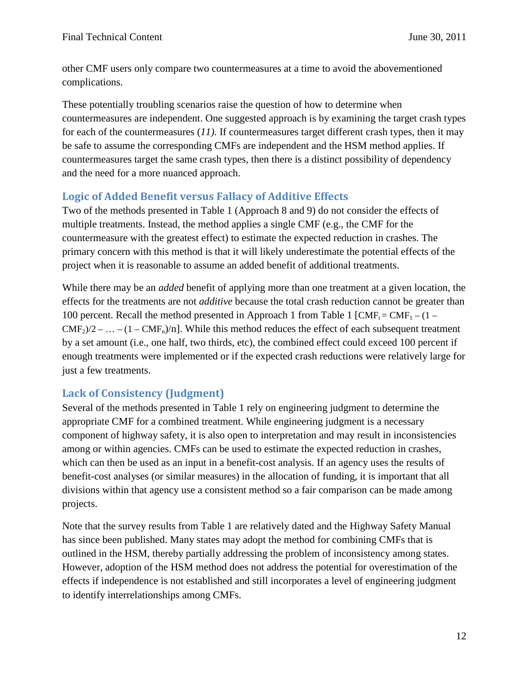other CMF users only compare two countermeasures at a time to avoid the abovementioned complications.

These potentially troubling scenarios raise the question of how to determine when countermeasures are independent. One suggested approach is by examining the target crash types for each of the countermeasures (*11).* If countermeasures target different crash types, then it may be safe to assume the corresponding CMFs are independent and the HSM method applies. If countermeasures target the same crash types, then there is a distinct possibility of dependency and the need for a more nuanced approach.

## <span id="page-11-0"></span>**Logic of Added Benefit versus Fallacy of Additive Effects**

Two of the methods presented in Table 1 (Approach 8 and 9) do not consider the effects of multiple treatments. Instead, the method applies a single CMF (e.g., the CMF for the countermeasure with the greatest effect) to estimate the expected reduction in crashes. The primary concern with this method is that it will likely underestimate the potential effects of the project when it is reasonable to assume an added benefit of additional treatments.

While there may be an *added* benefit of applying more than one treatment at a given location, the effects for the treatments are not *additive* because the total crash reduction cannot be greater than 100 percent. Recall the method presented in Approach 1 from Table 1  $[CMF_t = CMF_1 - (1 CMF_2/2$  – ... – (1 – CMF<sub>n</sub>)/n]. While this method reduces the effect of each subsequent treatment by a set amount (i.e., one half, two thirds, etc), the combined effect could exceed 100 percent if enough treatments were implemented or if the expected crash reductions were relatively large for just a few treatments.

## <span id="page-11-1"></span>**Lack of Consistency (Judgment)**

Several of the methods presented in Table 1 rely on engineering judgment to determine the appropriate CMF for a combined treatment. While engineering judgment is a necessary component of highway safety, it is also open to interpretation and may result in inconsistencies among or within agencies. CMFs can be used to estimate the expected reduction in crashes, which can then be used as an input in a benefit-cost analysis. If an agency uses the results of benefit-cost analyses (or similar measures) in the allocation of funding, it is important that all divisions within that agency use a consistent method so a fair comparison can be made among projects.

Note that the survey results from Table 1 are relatively dated and the Highway Safety Manual has since been published. Many states may adopt the method for combining CMFs that is outlined in the HSM, thereby partially addressing the problem of inconsistency among states. However, adoption of the HSM method does not address the potential for overestimation of the effects if independence is not established and still incorporates a level of engineering judgment to identify interrelationships among CMFs.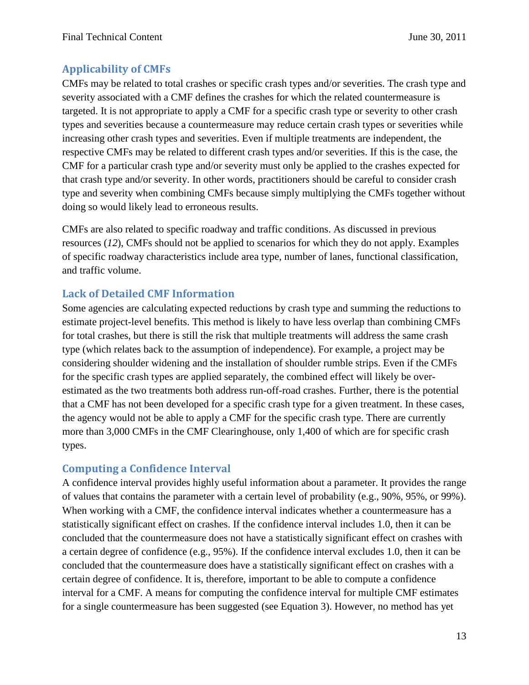## <span id="page-12-0"></span>**Applicability of CMFs**

CMFs may be related to total crashes or specific crash types and/or severities. The crash type and severity associated with a CMF defines the crashes for which the related countermeasure is targeted. It is not appropriate to apply a CMF for a specific crash type or severity to other crash types and severities because a countermeasure may reduce certain crash types or severities while increasing other crash types and severities. Even if multiple treatments are independent, the respective CMFs may be related to different crash types and/or severities. If this is the case, the CMF for a particular crash type and/or severity must only be applied to the crashes expected for that crash type and/or severity. In other words, practitioners should be careful to consider crash type and severity when combining CMFs because simply multiplying the CMFs together without doing so would likely lead to erroneous results.

CMFs are also related to specific roadway and traffic conditions. As discussed in previous resources (*12*), CMFs should not be applied to scenarios for which they do not apply. Examples of specific roadway characteristics include area type, number of lanes, functional classification, and traffic volume.

## <span id="page-12-1"></span>**Lack of Detailed CMF Information**

Some agencies are calculating expected reductions by crash type and summing the reductions to estimate project-level benefits. This method is likely to have less overlap than combining CMFs for total crashes, but there is still the risk that multiple treatments will address the same crash type (which relates back to the assumption of independence). For example, a project may be considering shoulder widening and the installation of shoulder rumble strips. Even if the CMFs for the specific crash types are applied separately, the combined effect will likely be overestimated as the two treatments both address run-off-road crashes. Further, there is the potential that a CMF has not been developed for a specific crash type for a given treatment. In these cases, the agency would not be able to apply a CMF for the specific crash type. There are currently more than 3,000 CMFs in the CMF Clearinghouse, only 1,400 of which are for specific crash types.

## <span id="page-12-2"></span>**Computing a Confidence Interval**

A confidence interval provides highly useful information about a parameter. It provides the range of values that contains the parameter with a certain level of probability (e.g., 90%, 95%, or 99%). When working with a CMF, the confidence interval indicates whether a countermeasure has a statistically significant effect on crashes. If the confidence interval includes 1.0, then it can be concluded that the countermeasure does not have a statistically significant effect on crashes with a certain degree of confidence (e.g., 95%). If the confidence interval excludes 1.0, then it can be concluded that the countermeasure does have a statistically significant effect on crashes with a certain degree of confidence. It is, therefore, important to be able to compute a confidence interval for a CMF. A means for computing the confidence interval for multiple CMF estimates for a single countermeasure has been suggested (see Equation 3). However, no method has yet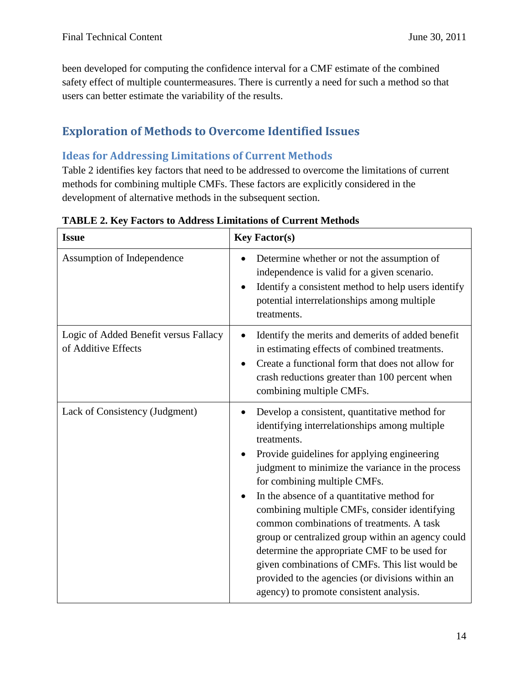been developed for computing the confidence interval for a CMF estimate of the combined safety effect of multiple countermeasures. There is currently a need for such a method so that users can better estimate the variability of the results.

# <span id="page-13-0"></span>**Exploration of Methods to Overcome Identified Issues**

## <span id="page-13-1"></span>**Ideas for Addressing Limitations of Current Methods**

Table 2 identifies key factors that need to be addressed to overcome the limitations of current methods for combining multiple CMFs. These factors are explicitly considered in the development of alternative methods in the subsequent section.

| <b>Issue</b>                                                 | <b>Key Factor(s)</b>                                                                                                                                                                                                                                                                                                                                                                                                                                                                                                                                                                                                                                |
|--------------------------------------------------------------|-----------------------------------------------------------------------------------------------------------------------------------------------------------------------------------------------------------------------------------------------------------------------------------------------------------------------------------------------------------------------------------------------------------------------------------------------------------------------------------------------------------------------------------------------------------------------------------------------------------------------------------------------------|
| Assumption of Independence                                   | Determine whether or not the assumption of<br>independence is valid for a given scenario.<br>Identify a consistent method to help users identify<br>potential interrelationships among multiple<br>treatments.                                                                                                                                                                                                                                                                                                                                                                                                                                      |
| Logic of Added Benefit versus Fallacy<br>of Additive Effects | Identify the merits and demerits of added benefit<br>in estimating effects of combined treatments.<br>Create a functional form that does not allow for<br>crash reductions greater than 100 percent when<br>combining multiple CMFs.                                                                                                                                                                                                                                                                                                                                                                                                                |
| Lack of Consistency (Judgment)                               | Develop a consistent, quantitative method for<br>identifying interrelationships among multiple<br>treatments.<br>Provide guidelines for applying engineering<br>judgment to minimize the variance in the process<br>for combining multiple CMFs.<br>In the absence of a quantitative method for<br>combining multiple CMFs, consider identifying<br>common combinations of treatments. A task<br>group or centralized group within an agency could<br>determine the appropriate CMF to be used for<br>given combinations of CMFs. This list would be<br>provided to the agencies (or divisions within an<br>agency) to promote consistent analysis. |

**TABLE 2. Key Factors to Address Limitations of Current Methods**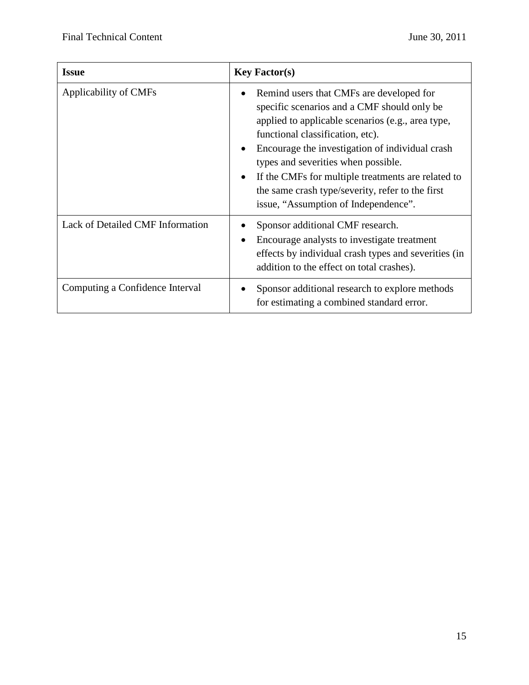| <b>Issue</b>                     | <b>Key Factor(s)</b>                                                                                                                                                                                                                                                                                                                                                                                                                                   |
|----------------------------------|--------------------------------------------------------------------------------------------------------------------------------------------------------------------------------------------------------------------------------------------------------------------------------------------------------------------------------------------------------------------------------------------------------------------------------------------------------|
| Applicability of CMFs            | Remind users that CMFs are developed for<br>specific scenarios and a CMF should only be<br>applied to applicable scenarios (e.g., area type,<br>functional classification, etc).<br>Encourage the investigation of individual crash<br>$\bullet$<br>types and severities when possible.<br>If the CMFs for multiple treatments are related to<br>$\bullet$<br>the same crash type/severity, refer to the first<br>issue, "Assumption of Independence". |
| Lack of Detailed CMF Information | Sponsor additional CMF research.<br>Encourage analysts to investigate treatment<br>effects by individual crash types and severities (in<br>addition to the effect on total crashes).                                                                                                                                                                                                                                                                   |
| Computing a Confidence Interval  | Sponsor additional research to explore methods<br>for estimating a combined standard error.                                                                                                                                                                                                                                                                                                                                                            |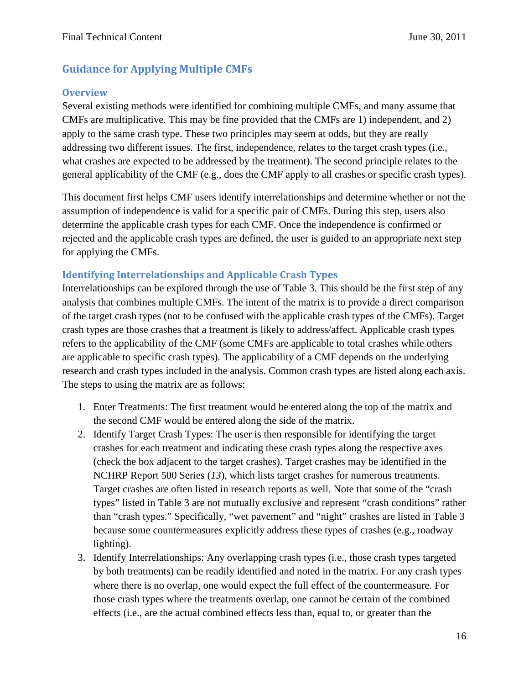## <span id="page-15-0"></span>**Guidance for Applying Multiple CMFs**

#### **Overview**

Several existing methods were identified for combining multiple CMFs, and many assume that CMFs are multiplicative. This may be fine provided that the CMFs are 1) independent, and 2) apply to the same crash type. These two principles may seem at odds, but they are really addressing two different issues. The first, independence, relates to the target crash types (i.e., what crashes are expected to be addressed by the treatment). The second principle relates to the general applicability of the CMF (e.g., does the CMF apply to all crashes or specific crash types).

This document first helps CMF users identify interrelationships and determine whether or not the assumption of independence is valid for a specific pair of CMFs. During this step, users also determine the applicable crash types for each CMF. Once the independence is confirmed or rejected and the applicable crash types are defined, the user is guided to an appropriate next step for applying the CMFs.

#### **Identifying Interrelationships and Applicable Crash Types**

Interrelationships can be explored through the use of Table 3. This should be the first step of any analysis that combines multiple CMFs. The intent of the matrix is to provide a direct comparison of the target crash types (not to be confused with the applicable crash types of the CMFs). Target crash types are those crashes that a treatment is likely to address/affect. Applicable crash types refers to the applicability of the CMF (some CMFs are applicable to total crashes while others are applicable to specific crash types). The applicability of a CMF depends on the underlying research and crash types included in the analysis. Common crash types are listed along each axis. The steps to using the matrix are as follows:

- 1. Enter Treatments: The first treatment would be entered along the top of the matrix and the second CMF would be entered along the side of the matrix.
- 2. Identify Target Crash Types: The user is then responsible for identifying the target crashes for each treatment and indicating these crash types along the respective axes (check the box adjacent to the target crashes). Target crashes may be identified in the NCHRP Report 500 Series (*13*), which lists target crashes for numerous treatments. Target crashes are often listed in research reports as well. Note that some of the "crash types" listed in Table 3 are not mutually exclusive and represent "crash conditions" rather than "crash types." Specifically, "wet pavement" and "night" crashes are listed in Table 3 because some countermeasures explicitly address these types of crashes (e.g., roadway lighting).
- 3. Identify Interrelationships: Any overlapping crash types (i.e., those crash types targeted by both treatments) can be readily identified and noted in the matrix. For any crash types where there is no overlap, one would expect the full effect of the countermeasure. For those crash types where the treatments overlap, one cannot be certain of the combined effects (i.e., are the actual combined effects less than, equal to, or greater than the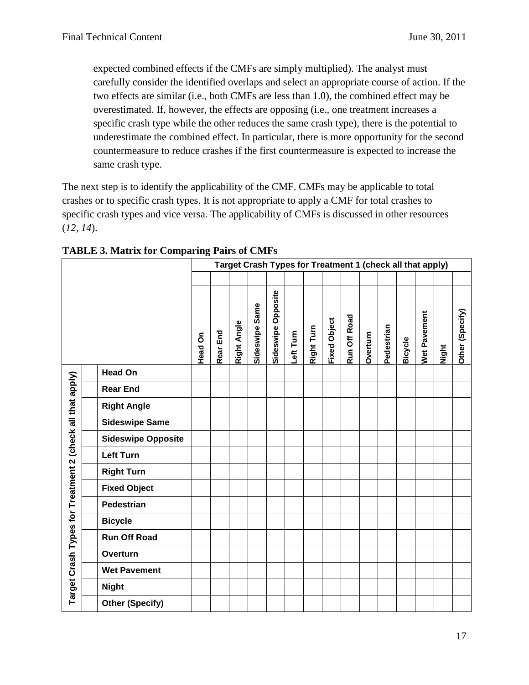expected combined effects if the CMFs are simply multiplied). The analyst must carefully consider the identified overlaps and select an appropriate course of action. If the two effects are similar (i.e., both CMFs are less than 1.0), the combined effect may be overestimated. If, however, the effects are opposing (i.e., one treatment increases a specific crash type while the other reduces the same crash type), there is the potential to underestimate the combined effect. In particular, there is more opportunity for the second countermeasure to reduce crashes if the first countermeasure is expected to increase the same crash type.

The next step is to identify the applicability of the CMF. CMFs may be applicable to total crashes or to specific crash types. It is not appropriate to apply a CMF for total crashes to specific crash types and vice versa. The applicability of CMFs is discussed in other resources (*12, 14*).

|                                                           |                           | Target Crash Types for Treatment 1 (check all that apply) |          |             |                |                       |           |            |                     |              |          |            |                |                     |       |                 |
|-----------------------------------------------------------|---------------------------|-----------------------------------------------------------|----------|-------------|----------------|-----------------------|-----------|------------|---------------------|--------------|----------|------------|----------------|---------------------|-------|-----------------|
|                                                           |                           |                                                           |          |             |                |                       |           |            |                     |              |          |            |                |                     |       |                 |
|                                                           |                           | Head On                                                   | Rear End | Right Angle | Sideswipe Same | Opposite<br>Sideswipe | Left Turn | Right Turn | <b>Fixed Object</b> | Run Off Road | Overturn | Pedestrian | <b>Bicycle</b> | <b>Net Pavement</b> | Night | Other (Specify) |
|                                                           | <b>Head On</b>            |                                                           |          |             |                |                       |           |            |                     |              |          |            |                |                     |       |                 |
|                                                           | <b>Rear End</b>           |                                                           |          |             |                |                       |           |            |                     |              |          |            |                |                     |       |                 |
|                                                           | <b>Right Angle</b>        |                                                           |          |             |                |                       |           |            |                     |              |          |            |                |                     |       |                 |
|                                                           | <b>Sideswipe Same</b>     |                                                           |          |             |                |                       |           |            |                     |              |          |            |                |                     |       |                 |
|                                                           | <b>Sideswipe Opposite</b> |                                                           |          |             |                |                       |           |            |                     |              |          |            |                |                     |       |                 |
|                                                           | <b>Left Turn</b>          |                                                           |          |             |                |                       |           |            |                     |              |          |            |                |                     |       |                 |
|                                                           | <b>Right Turn</b>         |                                                           |          |             |                |                       |           |            |                     |              |          |            |                |                     |       |                 |
|                                                           | <b>Fixed Object</b>       |                                                           |          |             |                |                       |           |            |                     |              |          |            |                |                     |       |                 |
|                                                           | Pedestrian                |                                                           |          |             |                |                       |           |            |                     |              |          |            |                |                     |       |                 |
|                                                           | <b>Bicycle</b>            |                                                           |          |             |                |                       |           |            |                     |              |          |            |                |                     |       |                 |
|                                                           | <b>Run Off Road</b>       |                                                           |          |             |                |                       |           |            |                     |              |          |            |                |                     |       |                 |
|                                                           | Overturn                  |                                                           |          |             |                |                       |           |            |                     |              |          |            |                |                     |       |                 |
| Target Crash Types for Treatment 2 (check all that apply) | <b>Wet Pavement</b>       |                                                           |          |             |                |                       |           |            |                     |              |          |            |                |                     |       |                 |
|                                                           | <b>Night</b>              |                                                           |          |             |                |                       |           |            |                     |              |          |            |                |                     |       |                 |
|                                                           | <b>Other (Specify)</b>    |                                                           |          |             |                |                       |           |            |                     |              |          |            |                |                     |       |                 |

**TABLE 3. Matrix for Comparing Pairs of CMFs**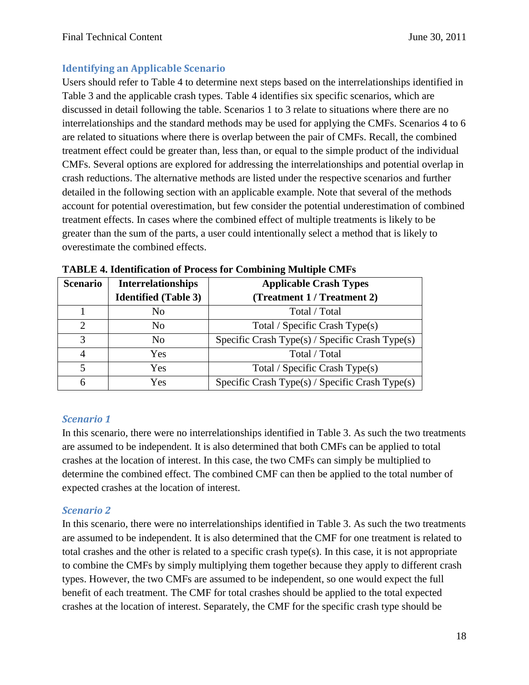## **Identifying an Applicable Scenario**

Users should refer to Table 4 to determine next steps based on the interrelationships identified in Table 3 and the applicable crash types. Table 4 identifies six specific scenarios, which are discussed in detail following the table. Scenarios 1 to 3 relate to situations where there are no interrelationships and the standard methods may be used for applying the CMFs. Scenarios 4 to 6 are related to situations where there is overlap between the pair of CMFs. Recall, the combined treatment effect could be greater than, less than, or equal to the simple product of the individual CMFs. Several options are explored for addressing the interrelationships and potential overlap in crash reductions. The alternative methods are listed under the respective scenarios and further detailed in the following section with an applicable example. Note that several of the methods account for potential overestimation, but few consider the potential underestimation of combined treatment effects. In cases where the combined effect of multiple treatments is likely to be greater than the sum of the parts, a user could intentionally select a method that is likely to overestimate the combined effects.

| <b>Scenario</b> | <b>Interrelationships</b>   | <b>Applicable Crash Types</b>                         |
|-----------------|-----------------------------|-------------------------------------------------------|
|                 | <b>Identified</b> (Table 3) | (Treatment 1 / Treatment 2)                           |
|                 | No                          | Total / Total                                         |
| っ               | No                          | Total / Specific Crash Type(s)                        |
| $\mathcal{R}$   | No                          | Specific Crash Type $(s)$ / Specific Crash Type $(s)$ |
| $\overline{A}$  | Yes                         | Total / Total                                         |
| $\overline{5}$  | Yes                         | Total / Specific Crash Type(s)                        |
| 6               | Yes                         | Specific Crash Type(s) / Specific Crash Type(s)       |

**TABLE 4. Identification of Process for Combining Multiple CMFs**

### *Scenario 1*

In this scenario, there were no interrelationships identified in Table 3. As such the two treatments are assumed to be independent. It is also determined that both CMFs can be applied to total crashes at the location of interest. In this case, the two CMFs can simply be multiplied to determine the combined effect. The combined CMF can then be applied to the total number of expected crashes at the location of interest.

### *Scenario 2*

In this scenario, there were no interrelationships identified in Table 3. As such the two treatments are assumed to be independent. It is also determined that the CMF for one treatment is related to total crashes and the other is related to a specific crash type(s). In this case, it is not appropriate to combine the CMFs by simply multiplying them together because they apply to different crash types. However, the two CMFs are assumed to be independent, so one would expect the full benefit of each treatment. The CMF for total crashes should be applied to the total expected crashes at the location of interest. Separately, the CMF for the specific crash type should be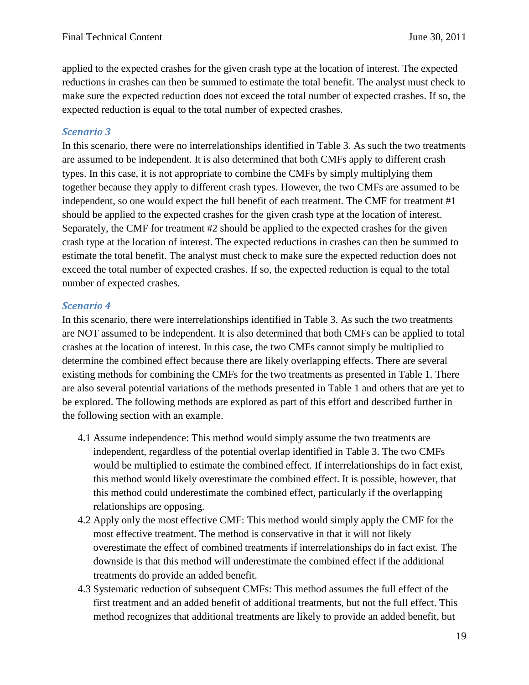applied to the expected crashes for the given crash type at the location of interest. The expected reductions in crashes can then be summed to estimate the total benefit. The analyst must check to make sure the expected reduction does not exceed the total number of expected crashes. If so, the expected reduction is equal to the total number of expected crashes.

#### *Scenario 3*

In this scenario, there were no interrelationships identified in Table 3. As such the two treatments are assumed to be independent. It is also determined that both CMFs apply to different crash types. In this case, it is not appropriate to combine the CMFs by simply multiplying them together because they apply to different crash types. However, the two CMFs are assumed to be independent, so one would expect the full benefit of each treatment. The CMF for treatment #1 should be applied to the expected crashes for the given crash type at the location of interest. Separately, the CMF for treatment #2 should be applied to the expected crashes for the given crash type at the location of interest. The expected reductions in crashes can then be summed to estimate the total benefit. The analyst must check to make sure the expected reduction does not exceed the total number of expected crashes. If so, the expected reduction is equal to the total number of expected crashes.

#### *Scenario 4*

In this scenario, there were interrelationships identified in Table 3. As such the two treatments are NOT assumed to be independent. It is also determined that both CMFs can be applied to total crashes at the location of interest. In this case, the two CMFs cannot simply be multiplied to determine the combined effect because there are likely overlapping effects. There are several existing methods for combining the CMFs for the two treatments as presented in Table 1. There are also several potential variations of the methods presented in Table 1 and others that are yet to be explored. The following methods are explored as part of this effort and described further in the following section with an example.

- 4.1 Assume independence: This method would simply assume the two treatments are independent, regardless of the potential overlap identified in Table 3. The two CMFs would be multiplied to estimate the combined effect. If interrelationships do in fact exist, this method would likely overestimate the combined effect. It is possible, however, that this method could underestimate the combined effect, particularly if the overlapping relationships are opposing.
- 4.2 Apply only the most effective CMF: This method would simply apply the CMF for the most effective treatment. The method is conservative in that it will not likely overestimate the effect of combined treatments if interrelationships do in fact exist. The downside is that this method will underestimate the combined effect if the additional treatments do provide an added benefit.
- 4.3 Systematic reduction of subsequent CMFs: This method assumes the full effect of the first treatment and an added benefit of additional treatments, but not the full effect. This method recognizes that additional treatments are likely to provide an added benefit, but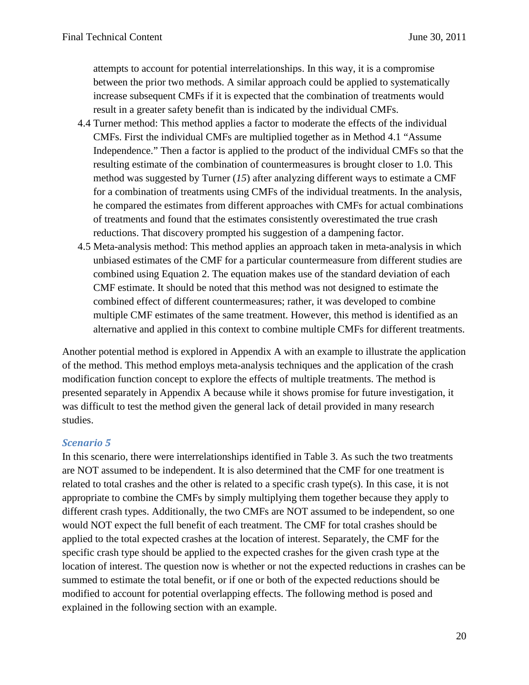attempts to account for potential interrelationships. In this way, it is a compromise between the prior two methods. A similar approach could be applied to systematically increase subsequent CMFs if it is expected that the combination of treatments would result in a greater safety benefit than is indicated by the individual CMFs.

- 4.4 Turner method: This method applies a factor to moderate the effects of the individual CMFs. First the individual CMFs are multiplied together as in Method 4.1 "Assume Independence." Then a factor is applied to the product of the individual CMFs so that the resulting estimate of the combination of countermeasures is brought closer to 1.0. This method was suggested by Turner (*15*) after analyzing different ways to estimate a CMF for a combination of treatments using CMFs of the individual treatments. In the analysis, he compared the estimates from different approaches with CMFs for actual combinations of treatments and found that the estimates consistently overestimated the true crash reductions. That discovery prompted his suggestion of a dampening factor.
- 4.5 Meta-analysis method: This method applies an approach taken in meta-analysis in which unbiased estimates of the CMF for a particular countermeasure from different studies are combined using Equation 2. The equation makes use of the standard deviation of each CMF estimate. It should be noted that this method was not designed to estimate the combined effect of different countermeasures; rather, it was developed to combine multiple CMF estimates of the same treatment. However, this method is identified as an alternative and applied in this context to combine multiple CMFs for different treatments.

Another potential method is explored in Appendix A with an example to illustrate the application of the method. This method employs meta-analysis techniques and the application of the crash modification function concept to explore the effects of multiple treatments. The method is presented separately in Appendix A because while it shows promise for future investigation, it was difficult to test the method given the general lack of detail provided in many research studies.

#### *Scenario 5*

In this scenario, there were interrelationships identified in Table 3. As such the two treatments are NOT assumed to be independent. It is also determined that the CMF for one treatment is related to total crashes and the other is related to a specific crash type(s). In this case, it is not appropriate to combine the CMFs by simply multiplying them together because they apply to different crash types. Additionally, the two CMFs are NOT assumed to be independent, so one would NOT expect the full benefit of each treatment. The CMF for total crashes should be applied to the total expected crashes at the location of interest. Separately, the CMF for the specific crash type should be applied to the expected crashes for the given crash type at the location of interest. The question now is whether or not the expected reductions in crashes can be summed to estimate the total benefit, or if one or both of the expected reductions should be modified to account for potential overlapping effects. The following method is posed and explained in the following section with an example.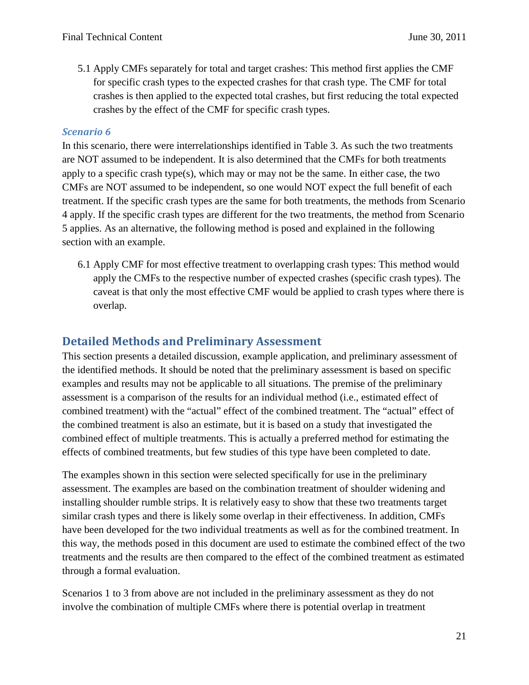5.1 Apply CMFs separately for total and target crashes: This method first applies the CMF for specific crash types to the expected crashes for that crash type. The CMF for total crashes is then applied to the expected total crashes, but first reducing the total expected crashes by the effect of the CMF for specific crash types.

#### *Scenario 6*

In this scenario, there were interrelationships identified in Table 3. As such the two treatments are NOT assumed to be independent. It is also determined that the CMFs for both treatments apply to a specific crash type(s), which may or may not be the same. In either case, the two CMFs are NOT assumed to be independent, so one would NOT expect the full benefit of each treatment. If the specific crash types are the same for both treatments, the methods from Scenario 4 apply. If the specific crash types are different for the two treatments, the method from Scenario 5 applies. As an alternative, the following method is posed and explained in the following section with an example.

6.1 Apply CMF for most effective treatment to overlapping crash types: This method would apply the CMFs to the respective number of expected crashes (specific crash types). The caveat is that only the most effective CMF would be applied to crash types where there is overlap.

## <span id="page-20-0"></span>**Detailed Methods and Preliminary Assessment**

This section presents a detailed discussion, example application, and preliminary assessment of the identified methods. It should be noted that the preliminary assessment is based on specific examples and results may not be applicable to all situations. The premise of the preliminary assessment is a comparison of the results for an individual method (i.e., estimated effect of combined treatment) with the "actual" effect of the combined treatment. The "actual" effect of the combined treatment is also an estimate, but it is based on a study that investigated the combined effect of multiple treatments. This is actually a preferred method for estimating the effects of combined treatments, but few studies of this type have been completed to date.

The examples shown in this section were selected specifically for use in the preliminary assessment. The examples are based on the combination treatment of shoulder widening and installing shoulder rumble strips. It is relatively easy to show that these two treatments target similar crash types and there is likely some overlap in their effectiveness. In addition, CMFs have been developed for the two individual treatments as well as for the combined treatment. In this way, the methods posed in this document are used to estimate the combined effect of the two treatments and the results are then compared to the effect of the combined treatment as estimated through a formal evaluation.

Scenarios 1 to 3 from above are not included in the preliminary assessment as they do not involve the combination of multiple CMFs where there is potential overlap in treatment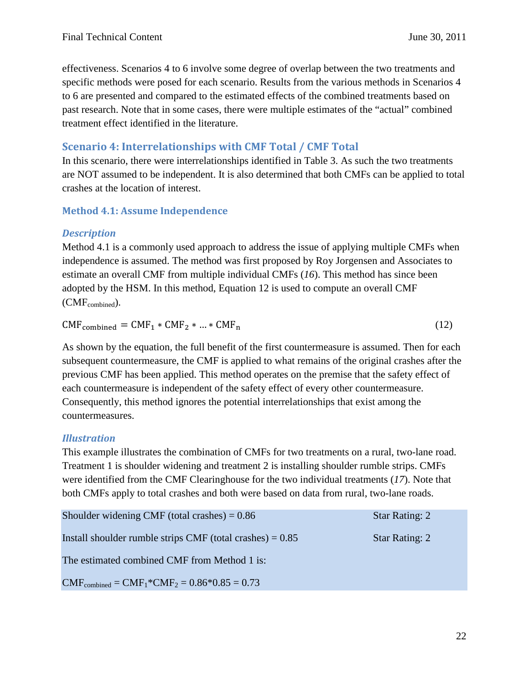effectiveness. Scenarios 4 to 6 involve some degree of overlap between the two treatments and specific methods were posed for each scenario. Results from the various methods in Scenarios 4 to 6 are presented and compared to the estimated effects of the combined treatments based on past research. Note that in some cases, there were multiple estimates of the "actual" combined treatment effect identified in the literature.

## <span id="page-21-0"></span>**Scenario 4: Interrelationships with CMF Total / CMF Total**

In this scenario, there were interrelationships identified in Table 3. As such the two treatments are NOT assumed to be independent. It is also determined that both CMFs can be applied to total crashes at the location of interest.

## **Method 4.1: Assume Independence**

## *Description*

Method 4.1 is a commonly used approach to address the issue of applying multiple CMFs when independence is assumed. The method was first proposed by Roy Jorgensen and Associates to estimate an overall CMF from multiple individual CMFs (*16*). This method has since been adopted by the HSM. In this method, Equation 12 is used to compute an overall CMF  $(CMF_{combined})$ .

 $CMF<sub>combined</sub> = CMF<sub>1</sub> * CMF<sub>2</sub> * ... * CMF<sub>n</sub>$  (12)

As shown by the equation, the full benefit of the first countermeasure is assumed. Then for each subsequent countermeasure, the CMF is applied to what remains of the original crashes after the previous CMF has been applied. This method operates on the premise that the safety effect of each countermeasure is independent of the safety effect of every other countermeasure. Consequently, this method ignores the potential interrelationships that exist among the countermeasures.

## *Illustration*

This example illustrates the combination of CMFs for two treatments on a rural, two-lane road. Treatment 1 is shoulder widening and treatment 2 is installing shoulder rumble strips. CMFs were identified from the CMF Clearinghouse for the two individual treatments (*17*). Note that both CMFs apply to total crashes and both were based on data from rural, two-lane roads.

| Shoulder widening CMF (total crashes) $= 0.86$              | <b>Star Rating: 2</b> |
|-------------------------------------------------------------|-----------------------|
| Install shoulder rumble strips CMF (total crashes) $= 0.85$ | <b>Star Rating: 2</b> |
| The estimated combined CMF from Method 1 is:                |                       |
| $CMFcombined = CMF1*CMF2 = 0.86*0.85 = 0.73$                |                       |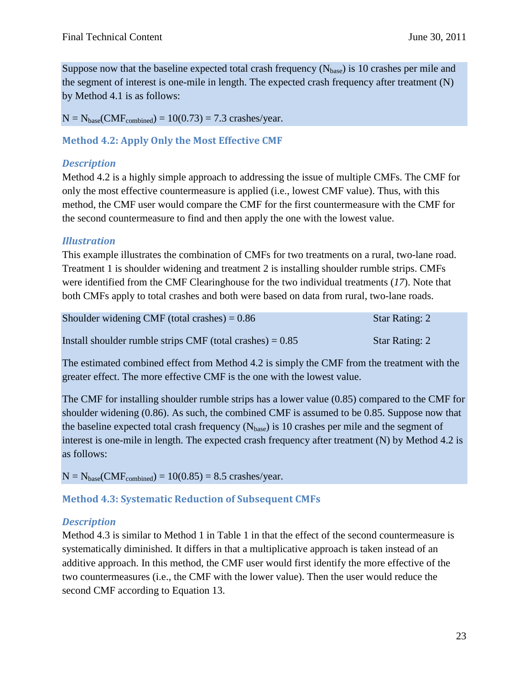Suppose now that the baseline expected total crash frequency  $(N_{base})$  is 10 crashes per mile and the segment of interest is one-mile in length. The expected crash frequency after treatment (N) by Method 4.1 is as follows:

 $N = N_{base}(CMF_{combined}) = 10(0.73) = 7.3$  crashes/year.

**Method 4.2: Apply Only the Most Effective CMF**

#### *Description*

Method 4.2 is a highly simple approach to addressing the issue of multiple CMFs. The CMF for only the most effective countermeasure is applied (i.e., lowest CMF value). Thus, with this method, the CMF user would compare the CMF for the first countermeasure with the CMF for the second countermeasure to find and then apply the one with the lowest value.

### *Illustration*

This example illustrates the combination of CMFs for two treatments on a rural, two-lane road. Treatment 1 is shoulder widening and treatment 2 is installing shoulder rumble strips. CMFs were identified from the CMF Clearinghouse for the two individual treatments (*17*). Note that both CMFs apply to total crashes and both were based on data from rural, two-lane roads.

| Shoulder widening CMF (total crashes) $= 0.86$              | <b>Star Rating: 2</b> |
|-------------------------------------------------------------|-----------------------|
| Install shoulder rumble strips CMF (total crashes) $= 0.85$ | <b>Star Rating: 2</b> |

The estimated combined effect from Method 4.2 is simply the CMF from the treatment with the greater effect. The more effective CMF is the one with the lowest value.

The CMF for installing shoulder rumble strips has a lower value (0.85) compared to the CMF for shoulder widening (0.86). As such, the combined CMF is assumed to be 0.85. Suppose now that the baseline expected total crash frequency  $(N_{base})$  is 10 crashes per mile and the segment of interest is one-mile in length. The expected crash frequency after treatment (N) by Method 4.2 is as follows:

 $N = N_{base}(CMF_{combined}) = 10(0.85) = 8.5$  crashes/year.

### **Method 4.3: Systematic Reduction of Subsequent CMFs**

### *Description*

Method 4.3 is similar to Method 1 in Table 1 in that the effect of the second countermeasure is systematically diminished. It differs in that a multiplicative approach is taken instead of an additive approach. In this method, the CMF user would first identify the more effective of the two countermeasures (i.e., the CMF with the lower value). Then the user would reduce the second CMF according to Equation 13.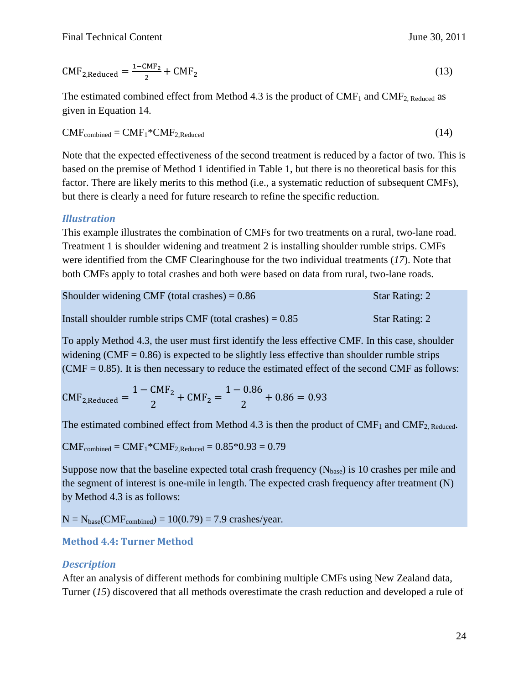$$
CMF2,Reduced = \frac{1 - CMF2}{2} + CMF2
$$
 (13)

The estimated combined effect from Method 4.3 is the product of  $CMF_1$  and  $CMF_2$ , Reduced as given in Equation 14.

$$
CMFcombined = CMF1*CMF2,Reduced
$$
 (14)

Note that the expected effectiveness of the second treatment is reduced by a factor of two. This is based on the premise of Method 1 identified in Table 1, but there is no theoretical basis for this factor. There are likely merits to this method (i.e., a systematic reduction of subsequent CMFs), but there is clearly a need for future research to refine the specific reduction.

#### *Illustration*

This example illustrates the combination of CMFs for two treatments on a rural, two-lane road. Treatment 1 is shoulder widening and treatment 2 is installing shoulder rumble strips. CMFs were identified from the CMF Clearinghouse for the two individual treatments (*17*). Note that both CMFs apply to total crashes and both were based on data from rural, two-lane roads.

| Shoulder widening CMF (total crashes) $= 0.86$              | Star Rating: 2        |
|-------------------------------------------------------------|-----------------------|
| Install shoulder rumble strips CMF (total crashes) $= 0.85$ | <b>Star Rating: 2</b> |

To apply Method 4.3, the user must first identify the less effective CMF. In this case, shoulder widening (CMF =  $0.86$ ) is expected to be slightly less effective than shoulder rumble strips  $(CMF = 0.85)$ . It is then necessary to reduce the estimated effect of the second CMF as follows:

 $CMF_{2,Reduced} = \frac{1 - CMF_2}{2} + CMF_2 = \frac{1 - 0.86}{2} + 0.86 = 0.93$ 

The estimated combined effect from Method 4.3 is then the product of  $CMF_1$  and  $CMF_2$ , Reduced.

 $CMF<sub>combined</sub> = CMF<sub>1</sub><sup>*</sup>CMF<sub>2,Reduced</sub> = 0.85<sup>*</sup>0.93 = 0.79$ 

Suppose now that the baseline expected total crash frequency  $(N_{base})$  is 10 crashes per mile and the segment of interest is one-mile in length. The expected crash frequency after treatment (N) by Method 4.3 is as follows:

 $N = N<sub>base</sub>(CMF<sub>combined</sub>) = 10(0.79) = 7.9$  crashes/year.

### **Method 4.4: Turner Method**

#### *Description*

After an analysis of different methods for combining multiple CMFs using New Zealand data, Turner (*15*) discovered that all methods overestimate the crash reduction and developed a rule of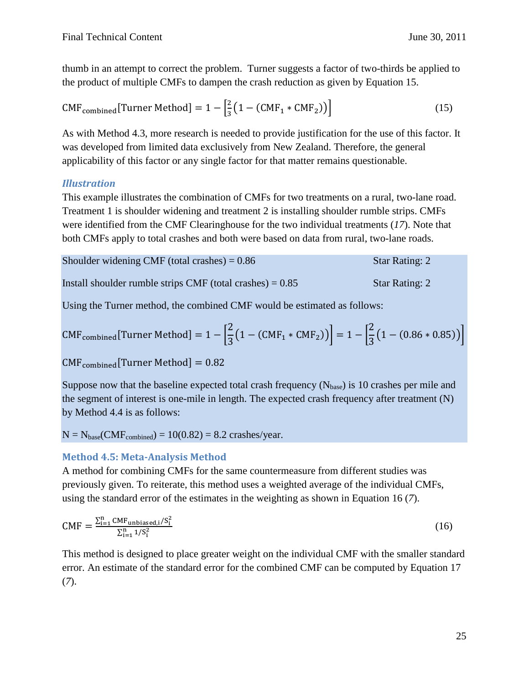thumb in an attempt to correct the problem. Turner suggests a factor of two-thirds be applied to the product of multiple CMFs to dampen the crash reduction as given by Equation 15.

$$
CMFcombined[Turner Method] = 1 - \left[\frac{2}{3}(1 - (CMF1 * CMF2))\right]
$$
 (15)

As with Method 4.3, more research is needed to provide justification for the use of this factor. It was developed from limited data exclusively from New Zealand. Therefore, the general applicability of this factor or any single factor for that matter remains questionable.

## *Illustration*

This example illustrates the combination of CMFs for two treatments on a rural, two-lane road. Treatment 1 is shoulder widening and treatment 2 is installing shoulder rumble strips. CMFs were identified from the CMF Clearinghouse for the two individual treatments (*17*). Note that both CMFs apply to total crashes and both were based on data from rural, two-lane roads.

| Shoulder widening CMF (total crashes) $= 0.86$ | Star Rating: 2 |
|------------------------------------------------|----------------|
|------------------------------------------------|----------------|

Install shoulder rumble strips CMF (total crashes)  $= 0.85$  Star Rating: 2

Using the Turner method, the combined CMF would be estimated as follows:

$$
CMFcombined[Turner Method] = 1 - \left[\frac{2}{3}(1 - (CMF1 * CMF2))\right] = 1 - \left[\frac{2}{3}(1 - (0.86 * 0.85))\right]
$$

 $CMF_{combined}[Turner Method] = 0.82$ 

Suppose now that the baseline expected total crash frequency  $(N_{base})$  is 10 crashes per mile and the segment of interest is one-mile in length. The expected crash frequency after treatment (N) by Method 4.4 is as follows:

 $N = N_{base}(CMF_{combined}) = 10(0.82) = 8.2$  crashes/year.

### **Method 4.5: Meta-Analysis Method**

A method for combining CMFs for the same countermeasure from different studies was previously given. To reiterate, this method uses a weighted average of the individual CMFs, using the standard error of the estimates in the weighting as shown in Equation 16 (*7*).

$$
CMF = \frac{\sum_{i=1}^{n} CMF_{unbiased,i}/S_i^2}{\sum_{i=1}^{n} 1/S_i^2}
$$
 (16)

This method is designed to place greater weight on the individual CMF with the smaller standard error. An estimate of the standard error for the combined CMF can be computed by Equation 17 (*7*).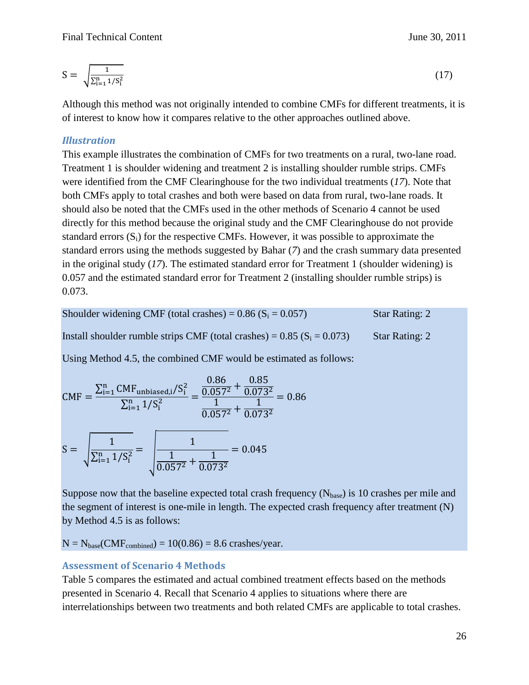$$
S=\sqrt{\frac{1}{\Sigma_{i=1}^n 1/S_i^2}}
$$

Although this method was not originally intended to combine CMFs for different treatments, it is of interest to know how it compares relative to the other approaches outlined above.

### *Illustration*

This example illustrates the combination of CMFs for two treatments on a rural, two-lane road. Treatment 1 is shoulder widening and treatment 2 is installing shoulder rumble strips. CMFs were identified from the CMF Clearinghouse for the two individual treatments (*17*). Note that both CMFs apply to total crashes and both were based on data from rural, two-lane roads. It should also be noted that the CMFs used in the other methods of Scenario 4 cannot be used directly for this method because the original study and the CMF Clearinghouse do not provide standard errors  $(S_i)$  for the respective CMFs. However, it was possible to approximate the standard errors using the methods suggested by Bahar (*7*) and the crash summary data presented in the original study (*17*). The estimated standard error for Treatment 1 (shoulder widening) is 0.057 and the estimated standard error for Treatment 2 (installing shoulder rumble strips) is 0.073.

| Shoulder widening CMF (total crashes) = $0.86$ (S <sub>i</sub> = $0.057$ )              | <b>Star Rating: 2</b> |
|-----------------------------------------------------------------------------------------|-----------------------|
| Install shoulder rumble strips CMF (total crashes) = $0.85$ (S <sub>i</sub> = $0.073$ ) | <b>Star Rating: 2</b> |

Using Method 4.5, the combined CMF would be estimated as follows:

$$
CMF = \frac{\sum_{i=1}^{n} CMF_{unbiased,i}/S_i^2}{\sum_{i=1}^{n} 1/S_i^2} = \frac{\frac{0.86}{0.057^2} + \frac{0.85}{0.073^2}}{\frac{1}{0.057^2} + \frac{1}{0.073^2}} = 0.86
$$
  

$$
S = \sqrt{\frac{1}{\sum_{i=1}^{n} 1/S_i^2}} = \sqrt{\frac{1}{\frac{1}{0.057^2} + \frac{1}{0.073^2}}} = 0.045
$$

Suppose now that the baseline expected total crash frequency  $(N_{base})$  is 10 crashes per mile and the segment of interest is one-mile in length. The expected crash frequency after treatment (N) by Method 4.5 is as follows:

 $N = N<sub>base</sub>(CMF<sub>combined</sub>) = 10(0.86) = 8.6 \text{ crashes/year}.$ 

### **Assessment of Scenario 4 Methods**

Table 5 compares the estimated and actual combined treatment effects based on the methods presented in Scenario 4. Recall that Scenario 4 applies to situations where there are interrelationships between two treatments and both related CMFs are applicable to total crashes.

26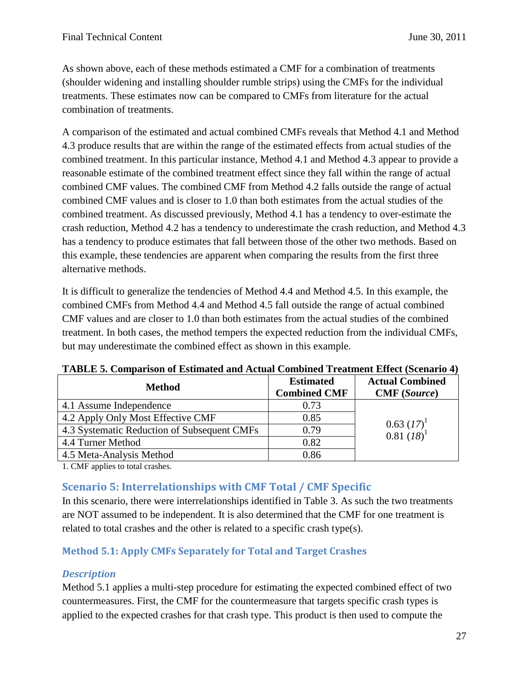As shown above, each of these methods estimated a CMF for a combination of treatments (shoulder widening and installing shoulder rumble strips) using the CMFs for the individual treatments. These estimates now can be compared to CMFs from literature for the actual combination of treatments.

A comparison of the estimated and actual combined CMFs reveals that Method 4.1 and Method 4.3 produce results that are within the range of the estimated effects from actual studies of the combined treatment. In this particular instance, Method 4.1 and Method 4.3 appear to provide a reasonable estimate of the combined treatment effect since they fall within the range of actual combined CMF values. The combined CMF from Method 4.2 falls outside the range of actual combined CMF values and is closer to 1.0 than both estimates from the actual studies of the combined treatment. As discussed previously, Method 4.1 has a tendency to over-estimate the crash reduction, Method 4.2 has a tendency to underestimate the crash reduction, and Method 4.3 has a tendency to produce estimates that fall between those of the other two methods. Based on this example, these tendencies are apparent when comparing the results from the first three alternative methods.

It is difficult to generalize the tendencies of Method 4.4 and Method 4.5. In this example, the combined CMFs from Method 4.4 and Method 4.5 fall outside the range of actual combined CMF values and are closer to 1.0 than both estimates from the actual studies of the combined treatment. In both cases, the method tempers the expected reduction from the individual CMFs, but may underestimate the combined effect as shown in this example.

| Method                                      | <b>Estimated</b><br><b>Combined CMF</b> | <b>Actual Combined</b><br><b>CMF</b> (Source) |
|---------------------------------------------|-----------------------------------------|-----------------------------------------------|
| 4.1 Assume Independence                     | 0.73                                    |                                               |
| 4.2 Apply Only Most Effective CMF           | 0.85                                    | $0.63~(17)^1$                                 |
| 4.3 Systematic Reduction of Subsequent CMFs | 0.79                                    | $0.81~(18)^1$                                 |
| 4.4 Turner Method                           | 0.82                                    |                                               |
| 4.5 Meta-Analysis Method                    | 0.86                                    |                                               |

**TABLE 5. Comparison of Estimated and Actual Combined Treatment Effect (Scenario 4)**

1. CMF applies to total crashes.

## <span id="page-26-0"></span>**Scenario 5: Interrelationships with CMF Total / CMF Specific**

In this scenario, there were interrelationships identified in Table 3. As such the two treatments are NOT assumed to be independent. It is also determined that the CMF for one treatment is related to total crashes and the other is related to a specific crash type(s).

## **Method 5.1: Apply CMFs Separately for Total and Target Crashes**

## *Description*

Method 5.1 applies a multi-step procedure for estimating the expected combined effect of two countermeasures. First, the CMF for the countermeasure that targets specific crash types is applied to the expected crashes for that crash type. This product is then used to compute the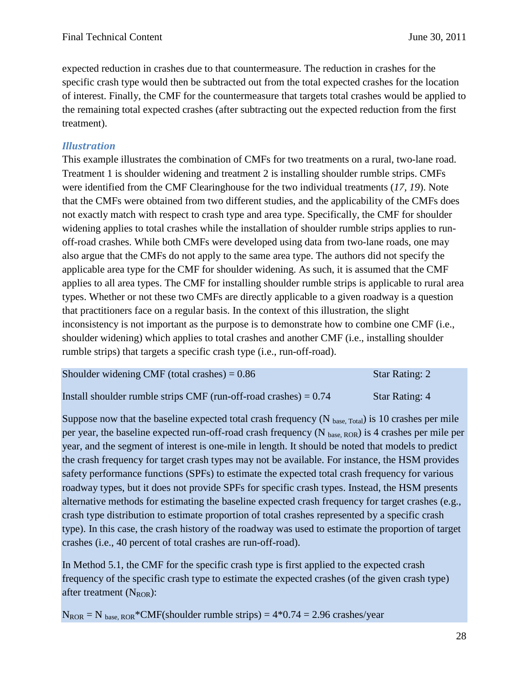expected reduction in crashes due to that countermeasure. The reduction in crashes for the specific crash type would then be subtracted out from the total expected crashes for the location of interest. Finally, the CMF for the countermeasure that targets total crashes would be applied to the remaining total expected crashes (after subtracting out the expected reduction from the first treatment).

### *Illustration*

This example illustrates the combination of CMFs for two treatments on a rural, two-lane road. Treatment 1 is shoulder widening and treatment 2 is installing shoulder rumble strips. CMFs were identified from the CMF Clearinghouse for the two individual treatments (*17, 19*). Note that the CMFs were obtained from two different studies, and the applicability of the CMFs does not exactly match with respect to crash type and area type. Specifically, the CMF for shoulder widening applies to total crashes while the installation of shoulder rumble strips applies to runoff-road crashes. While both CMFs were developed using data from two-lane roads, one may also argue that the CMFs do not apply to the same area type. The authors did not specify the applicable area type for the CMF for shoulder widening. As such, it is assumed that the CMF applies to all area types. The CMF for installing shoulder rumble strips is applicable to rural area types. Whether or not these two CMFs are directly applicable to a given roadway is a question that practitioners face on a regular basis. In the context of this illustration, the slight inconsistency is not important as the purpose is to demonstrate how to combine one CMF (i.e., shoulder widening) which applies to total crashes and another CMF (i.e., installing shoulder rumble strips) that targets a specific crash type (i.e., run-off-road).

| Shoulder widening CMF (total crashes) $= 0.86$                     | <b>Star Rating: 2</b> |
|--------------------------------------------------------------------|-----------------------|
| Install shoulder rumble strips CMF (run-off-road crashes) $= 0.74$ | <b>Star Rating: 4</b> |

Suppose now that the baseline expected total crash frequency (N base, Total) is 10 crashes per mile per year, the baseline expected run-off-road crash frequency (N base, ROR) is 4 crashes per mile per year, and the segment of interest is one-mile in length. It should be noted that models to predict the crash frequency for target crash types may not be available. For instance, the HSM provides safety performance functions (SPFs) to estimate the expected total crash frequency for various roadway types, but it does not provide SPFs for specific crash types. Instead, the HSM presents alternative methods for estimating the baseline expected crash frequency for target crashes (e.g., crash type distribution to estimate proportion of total crashes represented by a specific crash type). In this case, the crash history of the roadway was used to estimate the proportion of target crashes (i.e., 40 percent of total crashes are run-off-road).

In Method 5.1, the CMF for the specific crash type is first applied to the expected crash frequency of the specific crash type to estimate the expected crashes (of the given crash type) after treatment  $(N_{ROR})$ :

 $N_{ROR} = N_{base, ROR}$ \*CMF(shoulder rumble strips) = 4\*0.74 = 2.96 crashes/year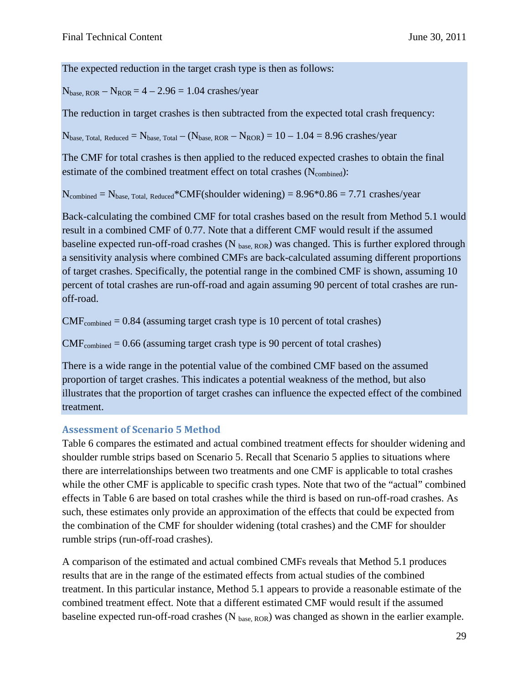The expected reduction in the target crash type is then as follows:

 $N<sub>base, ROR</sub> - N<sub>ROR</sub> = 4 - 2.96 = 1.04$  crashes/year

The reduction in target crashes is then subtracted from the expected total crash frequency:

 $N_{base, Total. Reduced} = N_{base, Total} - (N_{base, ROR} - N_{ROR}) = 10 - 1.04 = 8.96$  crashes/year

The CMF for total crashes is then applied to the reduced expected crashes to obtain the final estimate of the combined treatment effect on total crashes (N<sub>combined</sub>):

 $N_{\text{combined}} = N_{\text{base}}$ , Total, Reduced\*CMF(shoulder widening) =  $8.96*0.86 = 7.71$  crashes/year

Back-calculating the combined CMF for total crashes based on the result from Method 5.1 would result in a combined CMF of 0.77. Note that a different CMF would result if the assumed baseline expected run-off-road crashes ( $N_{base, ROR}$ ) was changed. This is further explored through a sensitivity analysis where combined CMFs are back-calculated assuming different proportions of target crashes. Specifically, the potential range in the combined CMF is shown, assuming 10 percent of total crashes are run-off-road and again assuming 90 percent of total crashes are runoff-road.

 $CMF<sub>combined</sub> = 0.84$  (assuming target crash type is 10 percent of total crashes)

 $CMF<sub>combined</sub> = 0.66$  (assuming target crash type is 90 percent of total crashes)

There is a wide range in the potential value of the combined CMF based on the assumed proportion of target crashes. This indicates a potential weakness of the method, but also illustrates that the proportion of target crashes can influence the expected effect of the combined treatment.

### **Assessment of Scenario 5 Method**

Table 6 compares the estimated and actual combined treatment effects for shoulder widening and shoulder rumble strips based on Scenario 5. Recall that Scenario 5 applies to situations where there are interrelationships between two treatments and one CMF is applicable to total crashes while the other CMF is applicable to specific crash types. Note that two of the "actual" combined effects in Table 6 are based on total crashes while the third is based on run-off-road crashes. As such, these estimates only provide an approximation of the effects that could be expected from the combination of the CMF for shoulder widening (total crashes) and the CMF for shoulder rumble strips (run-off-road crashes).

A comparison of the estimated and actual combined CMFs reveals that Method 5.1 produces results that are in the range of the estimated effects from actual studies of the combined treatment. In this particular instance, Method 5.1 appears to provide a reasonable estimate of the combined treatment effect. Note that a different estimated CMF would result if the assumed baseline expected run-off-road crashes (N base, ROR) was changed as shown in the earlier example.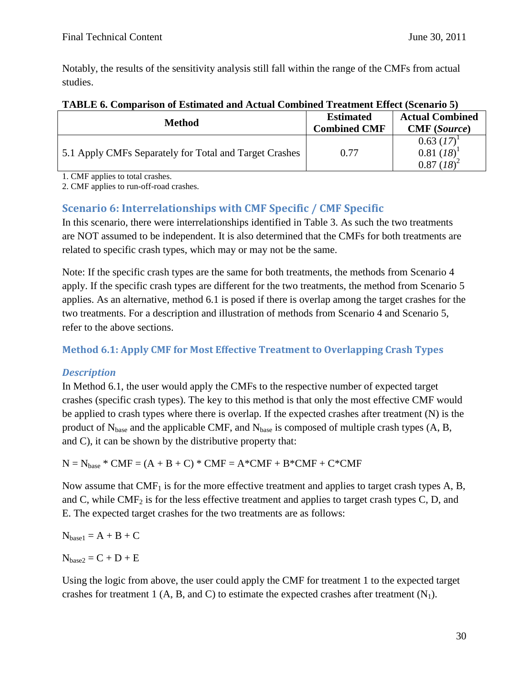Notably, the results of the sensitivity analysis still fall within the range of the CMFs from actual studies.

| AIADAD VI UVMIDNIMUU VI BUVMINNYVN NMN IIVVNNI UVMINIMUN AIVNVMIDII BILIVVV IIDVOMNITU V |                     |                                                   |  |
|------------------------------------------------------------------------------------------|---------------------|---------------------------------------------------|--|
| <b>Method</b>                                                                            | <b>Estimated</b>    | <b>Actual Combined</b>                            |  |
|                                                                                          | <b>Combined CMF</b> | <b>CMF</b> (Source)                               |  |
| 5.1 Apply CMFs Separately for Total and Target Crashes                                   | 0.77                | $0.63~(17)^{1}$<br>$0.81~(18)^1$<br>$0.87 (18)^2$ |  |

### **TABLE 6. Comparison of Estimated and Actual Combined Treatment Effect (Scenario 5)**

1. CMF applies to total crashes.

2. CMF applies to run-off-road crashes.

## <span id="page-29-0"></span>**Scenario 6: Interrelationships with CMF Specific / CMF Specific**

In this scenario, there were interrelationships identified in Table 3. As such the two treatments are NOT assumed to be independent. It is also determined that the CMFs for both treatments are related to specific crash types, which may or may not be the same.

Note: If the specific crash types are the same for both treatments, the methods from Scenario 4 apply. If the specific crash types are different for the two treatments, the method from Scenario 5 applies. As an alternative, method 6.1 is posed if there is overlap among the target crashes for the two treatments. For a description and illustration of methods from Scenario 4 and Scenario 5, refer to the above sections.

### **Method 6.1: Apply CMF for Most Effective Treatment to Overlapping Crash Types**

### *Description*

In Method 6.1, the user would apply the CMFs to the respective number of expected target crashes (specific crash types). The key to this method is that only the most effective CMF would be applied to crash types where there is overlap. If the expected crashes after treatment (N) is the product of  $N_{base}$  and the applicable CMF, and  $N_{base}$  is composed of multiple crash types (A, B, and C), it can be shown by the distributive property that:

 $N = N_{base} * CMF = (A + B + C) * CMF = A * CMF + B * CMF + C * CMF$ 

Now assume that  $CMF<sub>1</sub>$  is for the more effective treatment and applies to target crash types A, B, and C, while  $CMF_2$  is for the less effective treatment and applies to target crash types C, D, and E. The expected target crashes for the two treatments are as follows:

 $N_{\text{base1}} = A + B + C$ 

 $N_{base2} = C + D + E$ 

Using the logic from above, the user could apply the CMF for treatment 1 to the expected target crashes for treatment 1 (A, B, and C) to estimate the expected crashes after treatment  $(N_1)$ .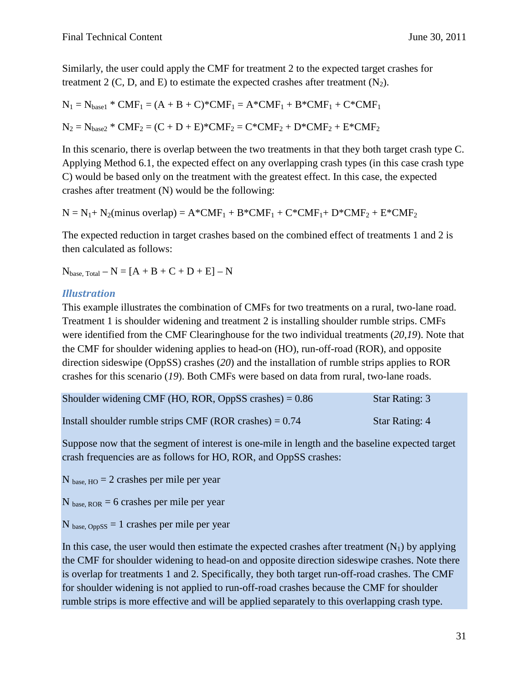Similarly, the user could apply the CMF for treatment 2 to the expected target crashes for treatment 2 (C, D, and E) to estimate the expected crashes after treatment  $(N_2)$ .

 $N_1 = N_{\text{base1}}$  \* CMF<sub>1</sub> = (A + B + C)\*CMF<sub>1</sub> = A\*CMF<sub>1</sub> + B\*CMF<sub>1</sub> + C\*CMF<sub>1</sub>

 $N_2 = N_{base2} * CMF_2 = (C + D + E) * CMF_2 = C * CMF_2 + D * CMF_2 + E * CMF_2$ 

In this scenario, there is overlap between the two treatments in that they both target crash type C. Applying Method 6.1, the expected effect on any overlapping crash types (in this case crash type C) would be based only on the treatment with the greatest effect. In this case, the expected crashes after treatment (N) would be the following:

 $N = N_1 + N_2$ (minus overlap) =  $A^*CMF_1 + B^*CMF_1 + C^*CMF_1 + D^*CMF_2 + E^*CMF_2$ 

The expected reduction in target crashes based on the combined effect of treatments 1 and 2 is then calculated as follows:

 $N_{base, Total} - N = [A + B + C + D + E] - N$ 

### *Illustration*

This example illustrates the combination of CMFs for two treatments on a rural, two-lane road. Treatment 1 is shoulder widening and treatment 2 is installing shoulder rumble strips. CMFs were identified from the CMF Clearinghouse for the two individual treatments (*20,19*). Note that the CMF for shoulder widening applies to head-on (HO), run-off-road (ROR), and opposite direction sideswipe (OppSS) crashes (*20*) and the installation of rumble strips applies to ROR crashes for this scenario (*19*). Both CMFs were based on data from rural, two-lane roads.

| Shoulder widening CMF (HO, ROR, OppSS crashes) $= 0.86$   | <b>Star Rating: 3</b> |
|-----------------------------------------------------------|-----------------------|
| Install shoulder rumble strips CMF (ROR crashes) $= 0.74$ | Star Rating: 4        |

Suppose now that the segment of interest is one-mile in length and the baseline expected target crash frequencies are as follows for HO, ROR, and OppSS crashes:

 $N_{base, HO} = 2$  crashes per mile per year

 $N_{base, ROR} = 6$  crashes per mile per year

 $N<sub>base. OppsS</sub> = 1 crashes per mile per year$ 

In this case, the user would then estimate the expected crashes after treatment  $(N_1)$  by applying the CMF for shoulder widening to head-on and opposite direction sideswipe crashes. Note there is overlap for treatments 1 and 2. Specifically, they both target run-off-road crashes. The CMF for shoulder widening is not applied to run-off-road crashes because the CMF for shoulder rumble strips is more effective and will be applied separately to this overlapping crash type.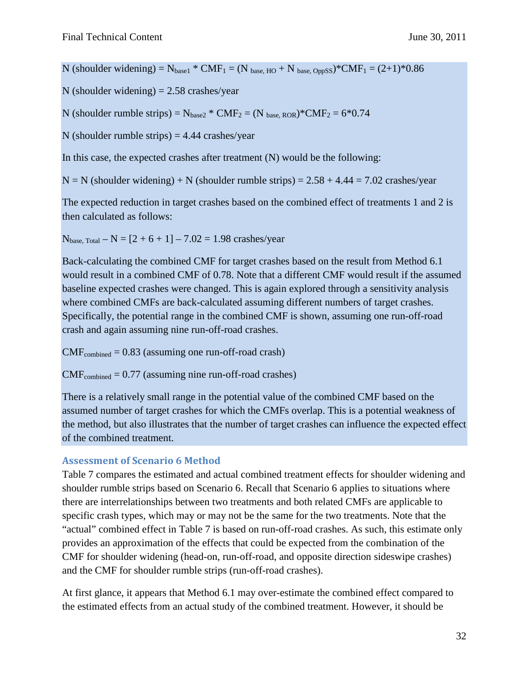N (shoulder widening) =  $N_{\text{base1}}$  \* CMF<sub>1</sub> = (N <sub>base, HO</sub> + N <sub>base, OppSS</sub>)\*CMF<sub>1</sub> = (2+1)\*0.86

N (shoulder widening)  $= 2.58$  crashes/year

N (shoulder rumble strips) =  $N_{base2}$  \*  $CMF_2 = (N_{base, ROR})$  \*  $CMF_2 = 6$  \* 0.74

N (shoulder rumble strips)  $=$  4.44 crashes/year

In this case, the expected crashes after treatment (N) would be the following:

 $N = N$  (shoulder widening) + N (shoulder rumble strips) = 2.58 + 4.44 = 7.02 crashes/year

The expected reduction in target crashes based on the combined effect of treatments 1 and 2 is then calculated as follows:

 $N<sub>base Total</sub> - N = [2 + 6 + 1] - 7.02 = 1.98$  crashes/year

Back-calculating the combined CMF for target crashes based on the result from Method 6.1 would result in a combined CMF of 0.78. Note that a different CMF would result if the assumed baseline expected crashes were changed. This is again explored through a sensitivity analysis where combined CMFs are back-calculated assuming different numbers of target crashes. Specifically, the potential range in the combined CMF is shown, assuming one run-off-road crash and again assuming nine run-off-road crashes.

 $CMF<sub>combined</sub> = 0.83$  (assuming one run-off-road crash)

 $CMF<sub>combined</sub> = 0.77$  (assuming nine run-off-road crashes)

There is a relatively small range in the potential value of the combined CMF based on the assumed number of target crashes for which the CMFs overlap. This is a potential weakness of the method, but also illustrates that the number of target crashes can influence the expected effect of the combined treatment.

### **Assessment of Scenario 6 Method**

Table 7 compares the estimated and actual combined treatment effects for shoulder widening and shoulder rumble strips based on Scenario 6. Recall that Scenario 6 applies to situations where there are interrelationships between two treatments and both related CMFs are applicable to specific crash types, which may or may not be the same for the two treatments. Note that the "actual" combined effect in Table 7 is based on run-off-road crashes. As such, this estimate only provides an approximation of the effects that could be expected from the combination of the CMF for shoulder widening (head-on, run-off-road, and opposite direction sideswipe crashes) and the CMF for shoulder rumble strips (run-off-road crashes).

At first glance, it appears that Method 6.1 may over-estimate the combined effect compared to the estimated effects from an actual study of the combined treatment. However, it should be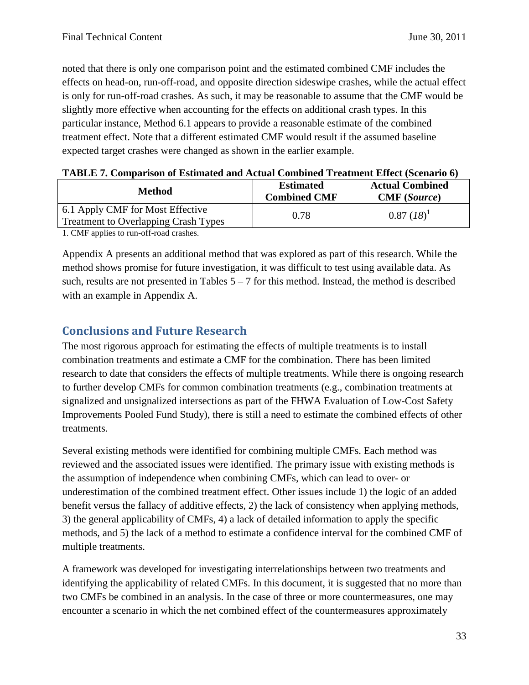noted that there is only one comparison point and the estimated combined CMF includes the effects on head-on, run-off-road, and opposite direction sideswipe crashes, while the actual effect is only for run-off-road crashes. As such, it may be reasonable to assume that the CMF would be slightly more effective when accounting for the effects on additional crash types. In this particular instance, Method 6.1 appears to provide a reasonable estimate of the combined treatment effect. Note that a different estimated CMF would result if the assumed baseline expected target crashes were changed as shown in the earlier example.

|  |  | TABLE 7. Comparison of Estimated and Actual Combined Treatment Effect (Scenario 6) |  |  |
|--|--|------------------------------------------------------------------------------------|--|--|
|--|--|------------------------------------------------------------------------------------|--|--|

| <b>Method</b>                                                                   | <b>Estimated</b><br><b>Combined CMF</b> | <b>Actual Combined</b><br><b>CMF</b> (Source) |
|---------------------------------------------------------------------------------|-----------------------------------------|-----------------------------------------------|
| 6.1 Apply CMF for Most Effective<br><b>Treatment to Overlapping Crash Types</b> | 0.78                                    | $0.87 (18)^1$                                 |
| $\sim$ $\sim$ $\sim$ $\sim$ $\sim$<br>$\mathcal{C}^{\mathcal{C}}$               |                                         |                                               |

1. CMF applies to run-off-road crashes.

Appendix A presents an additional method that was explored as part of this research. While the method shows promise for future investigation, it was difficult to test using available data. As such, results are not presented in Tables  $5 - 7$  for this method. Instead, the method is described with an example in Appendix A.

## <span id="page-32-0"></span>**Conclusions and Future Research**

The most rigorous approach for estimating the effects of multiple treatments is to install combination treatments and estimate a CMF for the combination. There has been limited research to date that considers the effects of multiple treatments. While there is ongoing research to further develop CMFs for common combination treatments (e.g., combination treatments at signalized and unsignalized intersections as part of the FHWA Evaluation of Low-Cost Safety Improvements Pooled Fund Study), there is still a need to estimate the combined effects of other treatments.

Several existing methods were identified for combining multiple CMFs. Each method was reviewed and the associated issues were identified. The primary issue with existing methods is the assumption of independence when combining CMFs, which can lead to over- or underestimation of the combined treatment effect. Other issues include 1) the logic of an added benefit versus the fallacy of additive effects, 2) the lack of consistency when applying methods, 3) the general applicability of CMFs, 4) a lack of detailed information to apply the specific methods, and 5) the lack of a method to estimate a confidence interval for the combined CMF of multiple treatments.

A framework was developed for investigating interrelationships between two treatments and identifying the applicability of related CMFs. In this document, it is suggested that no more than two CMFs be combined in an analysis. In the case of three or more countermeasures, one may encounter a scenario in which the net combined effect of the countermeasures approximately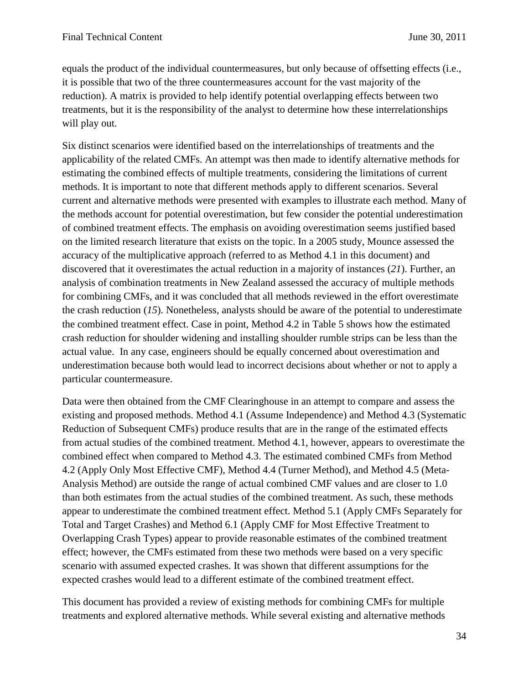equals the product of the individual countermeasures, but only because of offsetting effects (i.e., it is possible that two of the three countermeasures account for the vast majority of the reduction). A matrix is provided to help identify potential overlapping effects between two treatments, but it is the responsibility of the analyst to determine how these interrelationships will play out.

Six distinct scenarios were identified based on the interrelationships of treatments and the applicability of the related CMFs. An attempt was then made to identify alternative methods for estimating the combined effects of multiple treatments, considering the limitations of current methods. It is important to note that different methods apply to different scenarios. Several current and alternative methods were presented with examples to illustrate each method. Many of the methods account for potential overestimation, but few consider the potential underestimation of combined treatment effects. The emphasis on avoiding overestimation seems justified based on the limited research literature that exists on the topic. In a 2005 study, Mounce assessed the accuracy of the multiplicative approach (referred to as Method 4.1 in this document) and discovered that it overestimates the actual reduction in a majority of instances (*21*). Further, an analysis of combination treatments in New Zealand assessed the accuracy of multiple methods for combining CMFs, and it was concluded that all methods reviewed in the effort overestimate the crash reduction (*15*). Nonetheless, analysts should be aware of the potential to underestimate the combined treatment effect. Case in point, Method 4.2 in Table 5 shows how the estimated crash reduction for shoulder widening and installing shoulder rumble strips can be less than the actual value. In any case, engineers should be equally concerned about overestimation and underestimation because both would lead to incorrect decisions about whether or not to apply a particular countermeasure.

Data were then obtained from the CMF Clearinghouse in an attempt to compare and assess the existing and proposed methods. Method 4.1 (Assume Independence) and Method 4.3 (Systematic Reduction of Subsequent CMFs) produce results that are in the range of the estimated effects from actual studies of the combined treatment. Method 4.1, however, appears to overestimate the combined effect when compared to Method 4.3. The estimated combined CMFs from Method 4.2 (Apply Only Most Effective CMF), Method 4.4 (Turner Method), and Method 4.5 (Meta-Analysis Method) are outside the range of actual combined CMF values and are closer to 1.0 than both estimates from the actual studies of the combined treatment. As such, these methods appear to underestimate the combined treatment effect. Method 5.1 (Apply CMFs Separately for Total and Target Crashes) and Method 6.1 (Apply CMF for Most Effective Treatment to Overlapping Crash Types) appear to provide reasonable estimates of the combined treatment effect; however, the CMFs estimated from these two methods were based on a very specific scenario with assumed expected crashes. It was shown that different assumptions for the expected crashes would lead to a different estimate of the combined treatment effect.

This document has provided a review of existing methods for combining CMFs for multiple treatments and explored alternative methods. While several existing and alternative methods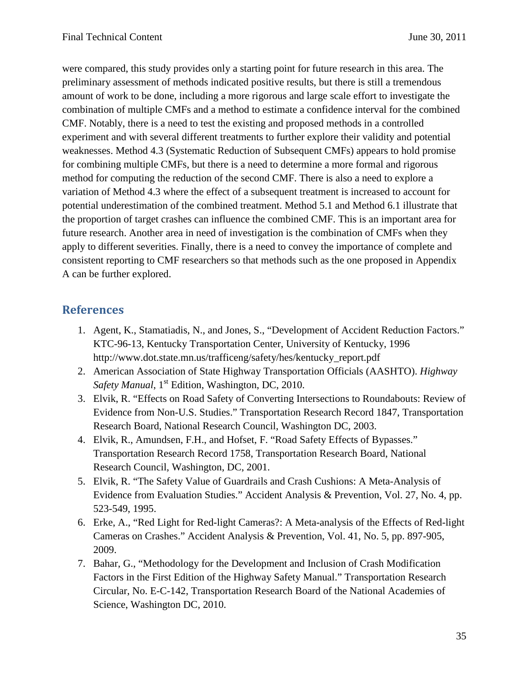were compared, this study provides only a starting point for future research in this area. The preliminary assessment of methods indicated positive results, but there is still a tremendous amount of work to be done, including a more rigorous and large scale effort to investigate the combination of multiple CMFs and a method to estimate a confidence interval for the combined CMF. Notably, there is a need to test the existing and proposed methods in a controlled experiment and with several different treatments to further explore their validity and potential weaknesses. Method 4.3 (Systematic Reduction of Subsequent CMFs) appears to hold promise for combining multiple CMFs, but there is a need to determine a more formal and rigorous method for computing the reduction of the second CMF. There is also a need to explore a variation of Method 4.3 where the effect of a subsequent treatment is increased to account for potential underestimation of the combined treatment. Method 5.1 and Method 6.1 illustrate that the proportion of target crashes can influence the combined CMF. This is an important area for future research. Another area in need of investigation is the combination of CMFs when they apply to different severities. Finally, there is a need to convey the importance of complete and consistent reporting to CMF researchers so that methods such as the one proposed in Appendix A can be further explored.

## <span id="page-34-0"></span>**References**

- 1. Agent, K., Stamatiadis, N., and Jones, S., "Development of Accident Reduction Factors." KTC-96-13, Kentucky Transportation Center, University of Kentucky, 1996 http://www.dot.state.mn.us/trafficeng/safety/hes/kentucky\_report.pdf
- 2. American Association of State Highway Transportation Officials (AASHTO). *Highway Safety Manual*, 1<sup>st</sup> Edition, Washington, DC, 2010.
- 3. Elvik, R. "Effects on Road Safety of Converting Intersections to Roundabouts: Review of Evidence from Non-U.S. Studies." Transportation Research Record 1847, Transportation Research Board, National Research Council, Washington DC, 2003.
- 4. Elvik, R., Amundsen, F.H., and Hofset, F. "Road Safety Effects of Bypasses." Transportation Research Record 1758, Transportation Research Board, National Research Council, Washington, DC, 2001.
- 5. Elvik, R. "The Safety Value of Guardrails and Crash Cushions: A Meta-Analysis of Evidence from Evaluation Studies." Accident Analysis & Prevention, Vol. 27, No. 4, pp. 523-549, 1995.
- 6. Erke, A., "Red Light for Red-light Cameras?: A Meta-analysis of the Effects of Red-light Cameras on Crashes." Accident Analysis & Prevention, Vol. 41, No. 5, pp. 897-905, 2009.
- 7. Bahar, G., "Methodology for the Development and Inclusion of Crash Modification Factors in the First Edition of the Highway Safety Manual." Transportation Research Circular, No. E-C-142, Transportation Research Board of the National Academies of Science, Washington DC, 2010.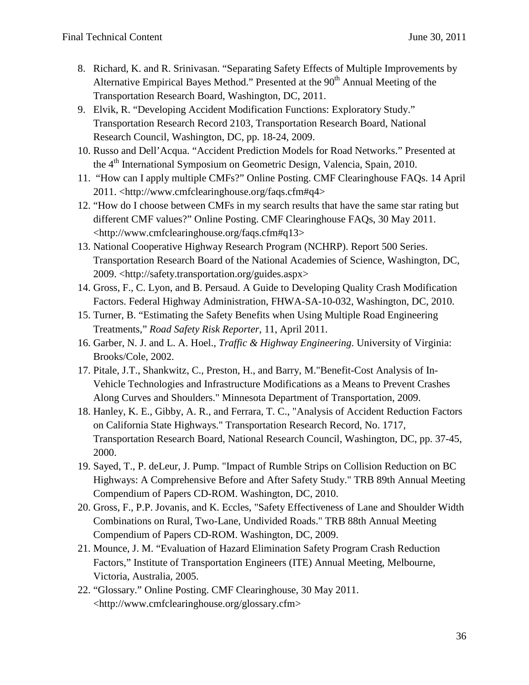- 8. Richard, K. and R. Srinivasan. "Separating Safety Effects of Multiple Improvements by Alternative Empirical Bayes Method." Presented at the  $90<sup>th</sup>$  Annual Meeting of the Transportation Research Board, Washington, DC, 2011.
- 9. Elvik, R. "Developing Accident Modification Functions: Exploratory Study." Transportation Research Record 2103, Transportation Research Board, National Research Council, Washington, DC, pp. 18-24, 2009.
- 10. Russo and Dell'Acqua. "Accident Prediction Models for Road Networks." Presented at the 4<sup>th</sup> International Symposium on Geometric Design, Valencia, Spain, 2010.
- 11. "How can I apply multiple CMFs?" Online Posting. CMF Clearinghouse FAQs. 14 April 2011. <http://www.cmfclearinghouse.org/faqs.cfm#q4>
- 12. "How do I choose between CMFs in my search results that have the same star rating but different CMF values?" Online Posting. CMF Clearinghouse FAQs, 30 May 2011. <http://www.cmfclearinghouse.org/faqs.cfm#q13>
- 13. National Cooperative Highway Research Program (NCHRP). Report 500 Series. Transportation Research Board of the National Academies of Science, Washington, DC, 2009. <http://safety.transportation.org/guides.aspx>
- 14. Gross, F., C. Lyon, and B. Persaud. A Guide to Developing Quality Crash Modification Factors. Federal Highway Administration, FHWA-SA-10-032, Washington, DC, 2010.
- 15. Turner, B. "Estimating the Safety Benefits when Using Multiple Road Engineering Treatments," *Road Safety Risk Reporter*, 11, April 2011.
- 16. Garber, N. J. and L. A. Hoel., *Traffic & Highway Engineering*. University of Virginia: Brooks/Cole, 2002.
- 17. Pitale, J.T., Shankwitz, C., Preston, H., and Barry, M."Benefit-Cost Analysis of In-Vehicle Technologies and Infrastructure Modifications as a Means to Prevent Crashes Along Curves and Shoulders." Minnesota Department of Transportation, 2009.
- 18. Hanley, K. E., Gibby, A. R., and Ferrara, T. C., "Analysis of Accident Reduction Factors on California State Highways." Transportation Research Record, No. 1717, Transportation Research Board, National Research Council, Washington, DC, pp. 37-45, 2000.
- 19. Sayed, T., P. deLeur, J. Pump. "Impact of Rumble Strips on Collision Reduction on BC Highways: A Comprehensive Before and After Safety Study." TRB 89th Annual Meeting Compendium of Papers CD-ROM. Washington, DC, 2010.
- 20. Gross, F., P.P. Jovanis, and K. Eccles, "Safety Effectiveness of Lane and Shoulder Width Combinations on Rural, Two-Lane, Undivided Roads." TRB 88th Annual Meeting Compendium of Papers CD-ROM. Washington, DC, 2009.
- 21. Mounce, J. M. "Evaluation of Hazard Elimination Safety Program Crash Reduction Factors," Institute of Transportation Engineers (ITE) Annual Meeting, Melbourne, Victoria, Australia, 2005.
- 22. "Glossary." Online Posting. CMF Clearinghouse, 30 May 2011. <http://www.cmfclearinghouse.org/glossary.cfm>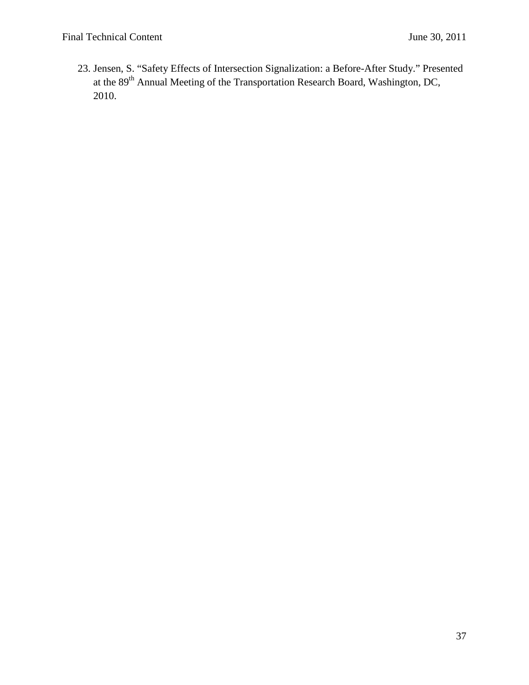23. Jensen, S. "Safety Effects of Intersection Signalization: a Before-After Study." Presented at the 89th Annual Meeting of the Transportation Research Board, Washington, DC, 2010.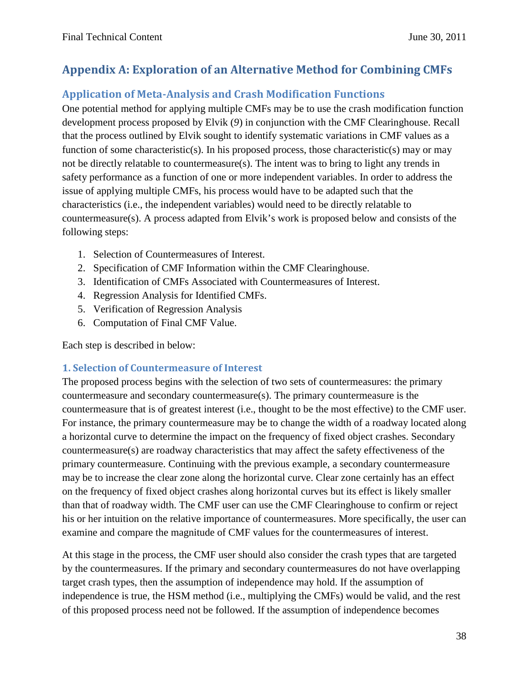# <span id="page-37-0"></span>**Appendix A: Exploration of an Alternative Method for Combining CMFs**

# <span id="page-37-1"></span>**Application of Meta-Analysis and Crash Modification Functions**

One potential method for applying multiple CMFs may be to use the crash modification function development process proposed by Elvik (*9*) in conjunction with the CMF Clearinghouse. Recall that the process outlined by Elvik sought to identify systematic variations in CMF values as a function of some characteristic(s). In his proposed process, those characteristic(s) may or may not be directly relatable to countermeasure(s). The intent was to bring to light any trends in safety performance as a function of one or more independent variables. In order to address the issue of applying multiple CMFs, his process would have to be adapted such that the characteristics (i.e., the independent variables) would need to be directly relatable to countermeasure(s). A process adapted from Elvik's work is proposed below and consists of the following steps:

- 1. Selection of Countermeasures of Interest.
- 2. Specification of CMF Information within the CMF Clearinghouse.
- 3. Identification of CMFs Associated with Countermeasures of Interest.
- 4. Regression Analysis for Identified CMFs.
- 5. Verification of Regression Analysis
- 6. Computation of Final CMF Value.

Each step is described in below:

## **1. Selection of Countermeasure of Interest**

The proposed process begins with the selection of two sets of countermeasures: the primary countermeasure and secondary countermeasure(s). The primary countermeasure is the countermeasure that is of greatest interest (i.e., thought to be the most effective) to the CMF user. For instance, the primary countermeasure may be to change the width of a roadway located along a horizontal curve to determine the impact on the frequency of fixed object crashes. Secondary countermeasure(s) are roadway characteristics that may affect the safety effectiveness of the primary countermeasure. Continuing with the previous example, a secondary countermeasure may be to increase the clear zone along the horizontal curve. Clear zone certainly has an effect on the frequency of fixed object crashes along horizontal curves but its effect is likely smaller than that of roadway width. The CMF user can use the CMF Clearinghouse to confirm or reject his or her intuition on the relative importance of countermeasures. More specifically, the user can examine and compare the magnitude of CMF values for the countermeasures of interest.

At this stage in the process, the CMF user should also consider the crash types that are targeted by the countermeasures. If the primary and secondary countermeasures do not have overlapping target crash types, then the assumption of independence may hold. If the assumption of independence is true, the HSM method (i.e., multiplying the CMFs) would be valid, and the rest of this proposed process need not be followed. If the assumption of independence becomes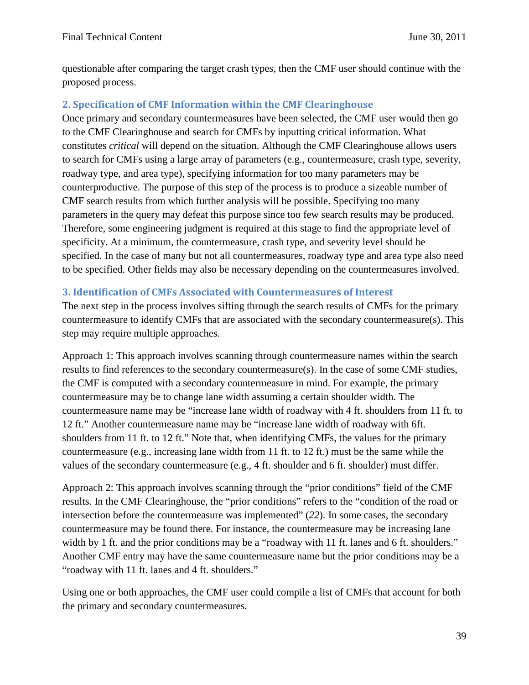questionable after comparing the target crash types, then the CMF user should continue with the proposed process.

## **2. Specification of CMF Information within the CMF Clearinghouse**

Once primary and secondary countermeasures have been selected, the CMF user would then go to the CMF Clearinghouse and search for CMFs by inputting critical information. What constitutes *critical* will depend on the situation. Although the CMF Clearinghouse allows users to search for CMFs using a large array of parameters (e.g., countermeasure, crash type, severity, roadway type, and area type), specifying information for too many parameters may be counterproductive. The purpose of this step of the process is to produce a sizeable number of CMF search results from which further analysis will be possible. Specifying too many parameters in the query may defeat this purpose since too few search results may be produced. Therefore, some engineering judgment is required at this stage to find the appropriate level of specificity. At a minimum, the countermeasure, crash type, and severity level should be specified. In the case of many but not all countermeasures, roadway type and area type also need to be specified. Other fields may also be necessary depending on the countermeasures involved.

### **3. Identification of CMFs Associated with Countermeasures of Interest**

The next step in the process involves sifting through the search results of CMFs for the primary countermeasure to identify CMFs that are associated with the secondary countermeasure(s). This step may require multiple approaches.

Approach 1: This approach involves scanning through countermeasure names within the search results to find references to the secondary countermeasure(s). In the case of some CMF studies, the CMF is computed with a secondary countermeasure in mind. For example, the primary countermeasure may be to change lane width assuming a certain shoulder width. The countermeasure name may be "increase lane width of roadway with 4 ft. shoulders from 11 ft. to 12 ft." Another countermeasure name may be "increase lane width of roadway with 6ft. shoulders from 11 ft. to 12 ft." Note that, when identifying CMFs, the values for the primary countermeasure (e.g., increasing lane width from 11 ft. to 12 ft.) must be the same while the values of the secondary countermeasure (e.g., 4 ft. shoulder and 6 ft. shoulder) must differ.

Approach 2: This approach involves scanning through the "prior conditions" field of the CMF results. In the CMF Clearinghouse, the "prior conditions" refers to the "condition of the road or intersection before the countermeasure was implemented" (*22*). In some cases, the secondary countermeasure may be found there. For instance, the countermeasure may be increasing lane width by 1 ft. and the prior conditions may be a "roadway with 11 ft. lanes and 6 ft. shoulders." Another CMF entry may have the same countermeasure name but the prior conditions may be a "roadway with 11 ft. lanes and 4 ft. shoulders."

Using one or both approaches, the CMF user could compile a list of CMFs that account for both the primary and secondary countermeasures.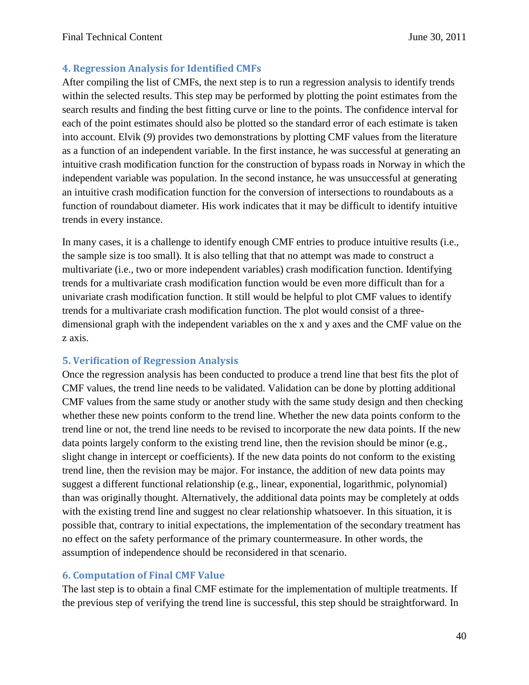### **4. Regression Analysis for Identified CMFs**

After compiling the list of CMFs, the next step is to run a regression analysis to identify trends within the selected results. This step may be performed by plotting the point estimates from the search results and finding the best fitting curve or line to the points. The confidence interval for each of the point estimates should also be plotted so the standard error of each estimate is taken into account. Elvik (*9*) provides two demonstrations by plotting CMF values from the literature as a function of an independent variable. In the first instance, he was successful at generating an intuitive crash modification function for the construction of bypass roads in Norway in which the independent variable was population. In the second instance, he was unsuccessful at generating an intuitive crash modification function for the conversion of intersections to roundabouts as a function of roundabout diameter. His work indicates that it may be difficult to identify intuitive trends in every instance.

In many cases, it is a challenge to identify enough CMF entries to produce intuitive results (i.e., the sample size is too small). It is also telling that that no attempt was made to construct a multivariate (i.e., two or more independent variables) crash modification function. Identifying trends for a multivariate crash modification function would be even more difficult than for a univariate crash modification function. It still would be helpful to plot CMF values to identify trends for a multivariate crash modification function. The plot would consist of a threedimensional graph with the independent variables on the x and y axes and the CMF value on the z axis.

### **5. Verification of Regression Analysis**

Once the regression analysis has been conducted to produce a trend line that best fits the plot of CMF values, the trend line needs to be validated. Validation can be done by plotting additional CMF values from the same study or another study with the same study design and then checking whether these new points conform to the trend line. Whether the new data points conform to the trend line or not, the trend line needs to be revised to incorporate the new data points. If the new data points largely conform to the existing trend line, then the revision should be minor (e.g., slight change in intercept or coefficients). If the new data points do not conform to the existing trend line, then the revision may be major. For instance, the addition of new data points may suggest a different functional relationship (e.g., linear, exponential, logarithmic, polynomial) than was originally thought. Alternatively, the additional data points may be completely at odds with the existing trend line and suggest no clear relationship whatsoever. In this situation, it is possible that, contrary to initial expectations, the implementation of the secondary treatment has no effect on the safety performance of the primary countermeasure. In other words, the assumption of independence should be reconsidered in that scenario.

### **6. Computation of Final CMF Value**

The last step is to obtain a final CMF estimate for the implementation of multiple treatments. If the previous step of verifying the trend line is successful, this step should be straightforward. In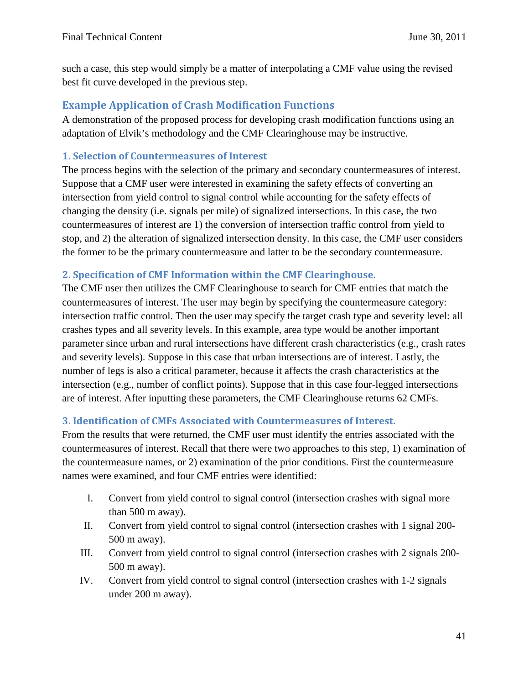such a case, this step would simply be a matter of interpolating a CMF value using the revised best fit curve developed in the previous step.

## <span id="page-40-0"></span>**Example Application of Crash Modification Functions**

A demonstration of the proposed process for developing crash modification functions using an adaptation of Elvik's methodology and the CMF Clearinghouse may be instructive.

### **1. Selection of Countermeasures of Interest**

The process begins with the selection of the primary and secondary countermeasures of interest. Suppose that a CMF user were interested in examining the safety effects of converting an intersection from yield control to signal control while accounting for the safety effects of changing the density (i.e. signals per mile) of signalized intersections. In this case, the two countermeasures of interest are 1) the conversion of intersection traffic control from yield to stop, and 2) the alteration of signalized intersection density. In this case, the CMF user considers the former to be the primary countermeasure and latter to be the secondary countermeasure.

#### **2. Specification of CMF Information within the CMF Clearinghouse.**

The CMF user then utilizes the CMF Clearinghouse to search for CMF entries that match the countermeasures of interest. The user may begin by specifying the countermeasure category: intersection traffic control. Then the user may specify the target crash type and severity level: all crashes types and all severity levels. In this example, area type would be another important parameter since urban and rural intersections have different crash characteristics (e.g., crash rates and severity levels). Suppose in this case that urban intersections are of interest. Lastly, the number of legs is also a critical parameter, because it affects the crash characteristics at the intersection (e.g., number of conflict points). Suppose that in this case four-legged intersections are of interest. After inputting these parameters, the CMF Clearinghouse returns 62 CMFs.

#### **3. Identification of CMFs Associated with Countermeasures of Interest.**

From the results that were returned, the CMF user must identify the entries associated with the countermeasures of interest. Recall that there were two approaches to this step, 1) examination of the countermeasure names, or 2) examination of the prior conditions. First the countermeasure names were examined, and four CMF entries were identified:

- I. Convert from yield control to signal control (intersection crashes with signal more than 500 m away).
- II. Convert from yield control to signal control (intersection crashes with 1 signal 200- 500 m away).
- III. Convert from yield control to signal control (intersection crashes with 2 signals 200- 500 m away).
- IV. Convert from yield control to signal control (intersection crashes with 1-2 signals under 200 m away).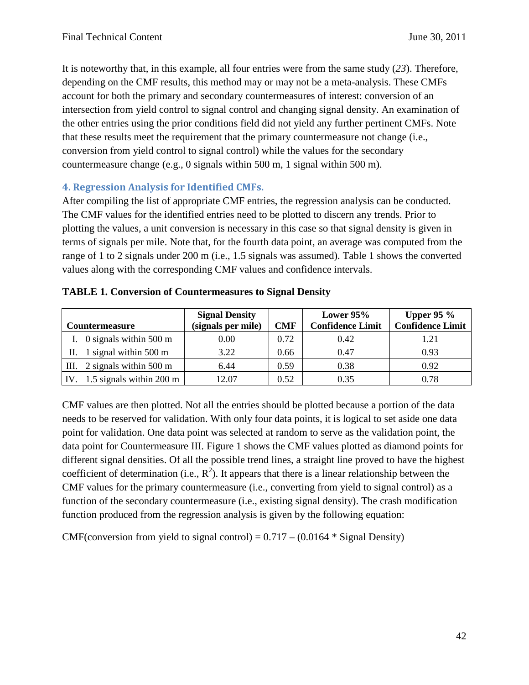It is noteworthy that, in this example, all four entries were from the same study (*23*). Therefore, depending on the CMF results, this method may or may not be a meta-analysis. These CMFs account for both the primary and secondary countermeasures of interest: conversion of an intersection from yield control to signal control and changing signal density. An examination of the other entries using the prior conditions field did not yield any further pertinent CMFs. Note that these results meet the requirement that the primary countermeasure not change (i.e., conversion from yield control to signal control) while the values for the secondary countermeasure change (e.g., 0 signals within 500 m, 1 signal within 500 m).

### **4. Regression Analysis for Identified CMFs.**

After compiling the list of appropriate CMF entries, the regression analysis can be conducted. The CMF values for the identified entries need to be plotted to discern any trends. Prior to plotting the values, a unit conversion is necessary in this case so that signal density is given in terms of signals per mile. Note that, for the fourth data point, an average was computed from the range of 1 to 2 signals under 200 m (i.e., 1.5 signals was assumed). Table 1 shows the converted values along with the corresponding CMF values and confidence intervals.

| <b>Countermeasure</b> |                                 | <b>Signal Density</b><br>(signals per mile) | <b>CMF</b> | Lower $95%$<br><b>Confidence Limit</b> | Upper 95 $%$<br><b>Confidence Limit</b> |
|-----------------------|---------------------------------|---------------------------------------------|------------|----------------------------------------|-----------------------------------------|
|                       | 0 signals within 500 m          | 0.00                                        | 0.72       | 0.42                                   | 1.21                                    |
|                       |                                 |                                             |            |                                        |                                         |
| П.                    | 1 signal within $500 \text{ m}$ | 3.22                                        | 0.66       | 0.47                                   | 0.93                                    |
|                       | III. $2$ signals within 500 m   | 6.44                                        | 0.59       | 0.38                                   | 0.92                                    |
|                       | 1.5 signals within 200 m        | 12.07                                       | 0.52       | 0.35                                   | 0.78                                    |

|  | <b>TABLE 1. Conversion of Countermeasures to Signal Density</b> |  |  |
|--|-----------------------------------------------------------------|--|--|
|  |                                                                 |  |  |

CMF values are then plotted. Not all the entries should be plotted because a portion of the data needs to be reserved for validation. With only four data points, it is logical to set aside one data point for validation. One data point was selected at random to serve as the validation point, the data point for Countermeasure III. Figure 1 shows the CMF values plotted as diamond points for different signal densities. Of all the possible trend lines, a straight line proved to have the highest coefficient of determination (i.e.,  $R^2$ ). It appears that there is a linear relationship between the CMF values for the primary countermeasure (i.e., converting from yield to signal control) as a function of the secondary countermeasure (i.e., existing signal density). The crash modification function produced from the regression analysis is given by the following equation:

CMF(conversion from yield to signal control) =  $0.717 - (0.0164 *$  Signal Density)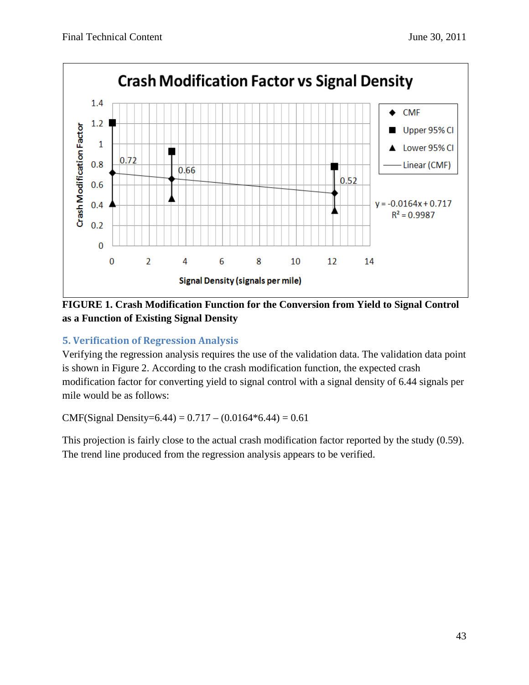

**FIGURE 1. Crash Modification Function for the Conversion from Yield to Signal Control as a Function of Existing Signal Density**

## **5. Verification of Regression Analysis**

Verifying the regression analysis requires the use of the validation data. The validation data point is shown in Figure 2. According to the crash modification function, the expected crash modification factor for converting yield to signal control with a signal density of 6.44 signals per mile would be as follows:

CMF(Signal Density=6.44) =  $0.717 - (0.0164*6.44) = 0.61$ 

This projection is fairly close to the actual crash modification factor reported by the study (0.59). The trend line produced from the regression analysis appears to be verified.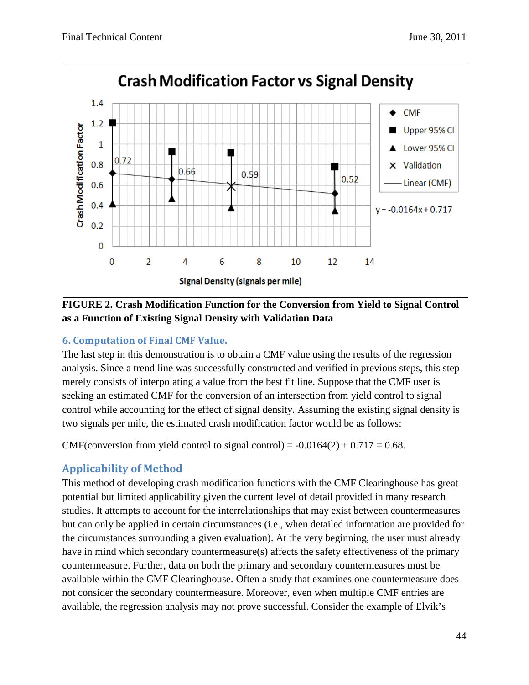

**FIGURE 2. Crash Modification Function for the Conversion from Yield to Signal Control as a Function of Existing Signal Density with Validation Data** 

## **6. Computation of Final CMF Value.**

The last step in this demonstration is to obtain a CMF value using the results of the regression analysis. Since a trend line was successfully constructed and verified in previous steps, this step merely consists of interpolating a value from the best fit line. Suppose that the CMF user is seeking an estimated CMF for the conversion of an intersection from yield control to signal control while accounting for the effect of signal density. Assuming the existing signal density is two signals per mile, the estimated crash modification factor would be as follows:

CMF(conversion from yield control to signal control) =  $-0.0164(2) + 0.717 = 0.68$ .

## <span id="page-43-0"></span>**Applicability of Method**

This method of developing crash modification functions with the CMF Clearinghouse has great potential but limited applicability given the current level of detail provided in many research studies. It attempts to account for the interrelationships that may exist between countermeasures but can only be applied in certain circumstances (i.e., when detailed information are provided for the circumstances surrounding a given evaluation). At the very beginning, the user must already have in mind which secondary countermeasure(s) affects the safety effectiveness of the primary countermeasure. Further, data on both the primary and secondary countermeasures must be available within the CMF Clearinghouse. Often a study that examines one countermeasure does not consider the secondary countermeasure. Moreover, even when multiple CMF entries are available, the regression analysis may not prove successful. Consider the example of Elvik's